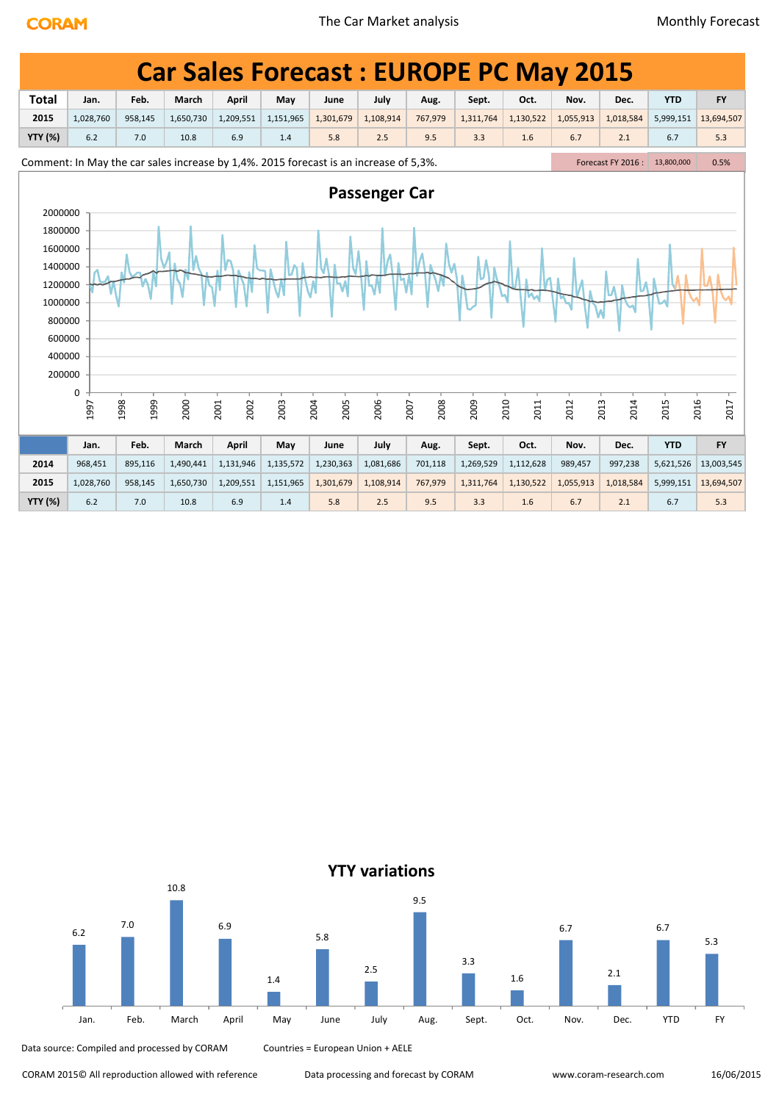|                                                                                                                                                                                                                                                                                                              | <b>Car Sales Forecast: EUROPE PC May 2015</b><br><b>Total</b><br>July<br><b>YTD</b><br>Feb.<br>March<br><b>April</b><br>Oct.<br>Nov.<br><b>FY</b><br>May<br>Aug.<br>Sept.<br>Dec.<br>Jan.<br>June |              |           |              |           |              |                      |              |           |              |           |              |            |              |
|--------------------------------------------------------------------------------------------------------------------------------------------------------------------------------------------------------------------------------------------------------------------------------------------------------------|---------------------------------------------------------------------------------------------------------------------------------------------------------------------------------------------------|--------------|-----------|--------------|-----------|--------------|----------------------|--------------|-----------|--------------|-----------|--------------|------------|--------------|
| 2015<br>1,209,551<br>1,151,965<br>1,301,679<br>1,108,914<br>767,979<br>1,130,522<br>1,055,913<br>1,018,584<br>13,694,507<br>1,028,760<br>958,145<br>1,650,730<br>1,311,764<br>5,999,151<br><b>YTY (%)</b><br>6.2<br>6.9<br>6.7<br>7.0<br>10.8<br>1.4<br>5.8<br>2.5<br>9.5<br>3.3<br>1.6<br>6.7<br>2.1<br>5.3 |                                                                                                                                                                                                   |              |           |              |           |              |                      |              |           |              |           |              |            |              |
|                                                                                                                                                                                                                                                                                                              | Comment: In May the car sales increase by 1,4%. 2015 forecast is an increase of 5,3%.<br>Forecast FY 2016 : 13,800,000<br>0.5%                                                                    |              |           |              |           |              |                      |              |           |              |           |              |            |              |
|                                                                                                                                                                                                                                                                                                              |                                                                                                                                                                                                   |              |           |              |           |              |                      |              |           |              |           |              |            |              |
|                                                                                                                                                                                                                                                                                                              |                                                                                                                                                                                                   |              |           |              |           |              |                      |              |           |              |           |              |            |              |
| 2000000<br>1800000<br>1600000<br>1400000<br>1200000<br>1000000<br>800000<br>600000<br>400000<br>200000                                                                                                                                                                                                       |                                                                                                                                                                                                   |              |           |              |           |              | <b>Passenger Car</b> |              |           |              |           |              |            |              |
|                                                                                                                                                                                                                                                                                                              | 0<br>1997                                                                                                                                                                                         | 1998<br>1999 | 2000      | 2002<br>2001 | 2003      | 2005<br>2004 | 2006                 | 2007<br>2008 | 2009      | 2010<br>2011 | 2012      | 2013<br>2014 | 2015       | 2016<br>2017 |
|                                                                                                                                                                                                                                                                                                              | Jan.                                                                                                                                                                                              | Feb.         | March     | April        | May       | June         | July                 | Aug.         | Sept.     | Oct.         | Nov.      | Dec.         | <b>YTD</b> | <b>FY</b>    |
| 2014                                                                                                                                                                                                                                                                                                         | 968,451                                                                                                                                                                                           | 895,116      | 1,490,441 | 1,131,946    | 1,135,572 | 1,230,363    | 1,081,686            | 701,118      | 1,269,529 | 1,112,628    | 989,457   | 997,238      | 5,621,526  | 13,003,545   |
| 2015                                                                                                                                                                                                                                                                                                         | 1,028,760                                                                                                                                                                                         | 958,145      | 1,650,730 | 1,209,551    | 1,151,965 | 1,301,679    | 1,108,914            | 767,979      | 1,311,764 | 1,130,522    | 1,055,913 | 1,018,584    | 5,999,151  | 13,694,507   |
| <b>YTY (%)</b>                                                                                                                                                                                                                                                                                               | 6.2                                                                                                                                                                                               | 7.0          | 10.8      | 6.9          | 1.4       | 5.8          | 2.5                  | 9.5          | 3.3       | 1.6          | 6.7       | 2.1          | 6.7        | 5.3          |



Data source: Compiled and processed by CORAM Countries = European Union + AELE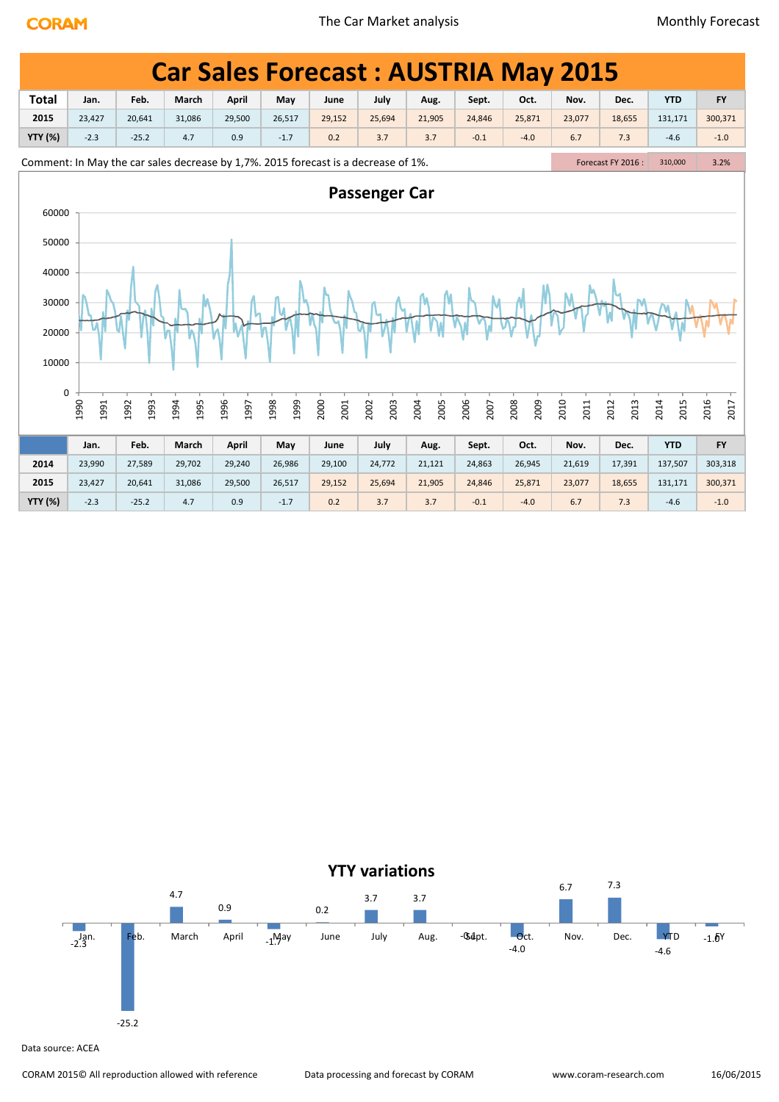|                |              |              |              |              |              |                                                                                    |                      |              |              | <b>Car Sales Forecast: AUSTRIA May 2015</b> |              |                    |              |              |
|----------------|--------------|--------------|--------------|--------------|--------------|------------------------------------------------------------------------------------|----------------------|--------------|--------------|---------------------------------------------|--------------|--------------------|--------------|--------------|
| <b>Total</b>   | Jan.         | Feb.         | March        | April        | May          | June                                                                               | July                 | Aug.         | Sept.        | Oct.                                        | Nov.         | Dec.               | <b>YTD</b>   | <b>FY</b>    |
| 2015           | 23,427       | 20,641       | 31,086       | 29,500       | 26,517       | 29,152                                                                             | 25,694               | 21,905       | 24,846       | 25,871                                      | 23,077       | 18,655             | 131,171      | 300,371      |
| <b>YTY (%)</b> | $-2.3$       | $-25.2$      | 4.7          | 0.9          | $-1.7$       | 0.2                                                                                | 3.7                  | 3.7          | $-0.1$       | $-4.0$                                      | 6.7          | 7.3                | $-4.6$       | $-1.0$       |
|                |              |              |              |              |              | Comment: In May the car sales decrease by 1,7%. 2015 forecast is a decrease of 1%. |                      |              |              |                                             |              | Forecast FY 2016 : | 310,000      | 3.2%         |
| 60000          |              |              |              |              |              |                                                                                    | <b>Passenger Car</b> |              |              |                                             |              |                    |              |              |
| 50000          |              |              |              |              |              |                                                                                    |                      |              |              |                                             |              |                    |              |              |
| 40000          |              |              |              |              |              |                                                                                    |                      |              |              |                                             |              |                    |              |              |
| 30000          |              |              |              |              |              |                                                                                    |                      |              |              |                                             |              |                    |              |              |
| 20000          |              |              |              |              |              |                                                                                    |                      |              |              |                                             |              |                    |              |              |
| 10000          |              |              |              |              |              |                                                                                    |                      |              |              |                                             |              |                    |              |              |
| 0              | 1990<br>1991 | 1992<br>1993 | 1994<br>1995 | 1996<br>1997 | 1999<br>1998 | 2000<br>2001                                                                       | 2003<br>2002         | 2004<br>2005 | 2006<br>2007 | 2008<br>2009                                | 2010<br>2011 | 2012<br>2013       | 2014<br>2015 | 2016<br>2017 |
|                | Jan.         | Feb.         | March        | April        | May          | June                                                                               | July                 | Aug.         | Sept.        | Oct.                                        | Nov.         | Dec.               | <b>YTD</b>   | <b>FY</b>    |
| 2014           | 23,990       | 27,589       | 29,702       | 29,240       | 26,986       | 29,100                                                                             | 24,772               | 21,121       | 24,863       | 26,945                                      | 21,619       | 17,391             | 137,507      | 303,318      |
| 2015           | 23,427       | 20,641       | 31,086       | 29,500       | 26,517       | 29,152                                                                             | 25,694               | 21,905       | 24,846       | 25,871                                      | 23,077       | 18,655             | 131,171      | 300,371      |
| <b>YTY (%)</b> | $-2.3$       | $-25.2$      | 4.7          | 0.9          | $-1.7$       | 0.2                                                                                | 3.7                  | 3.7          | $-0.1$       | $-4.0$                                      | 6.7          | 7.3                | $-4.6$       | $-1.0$       |

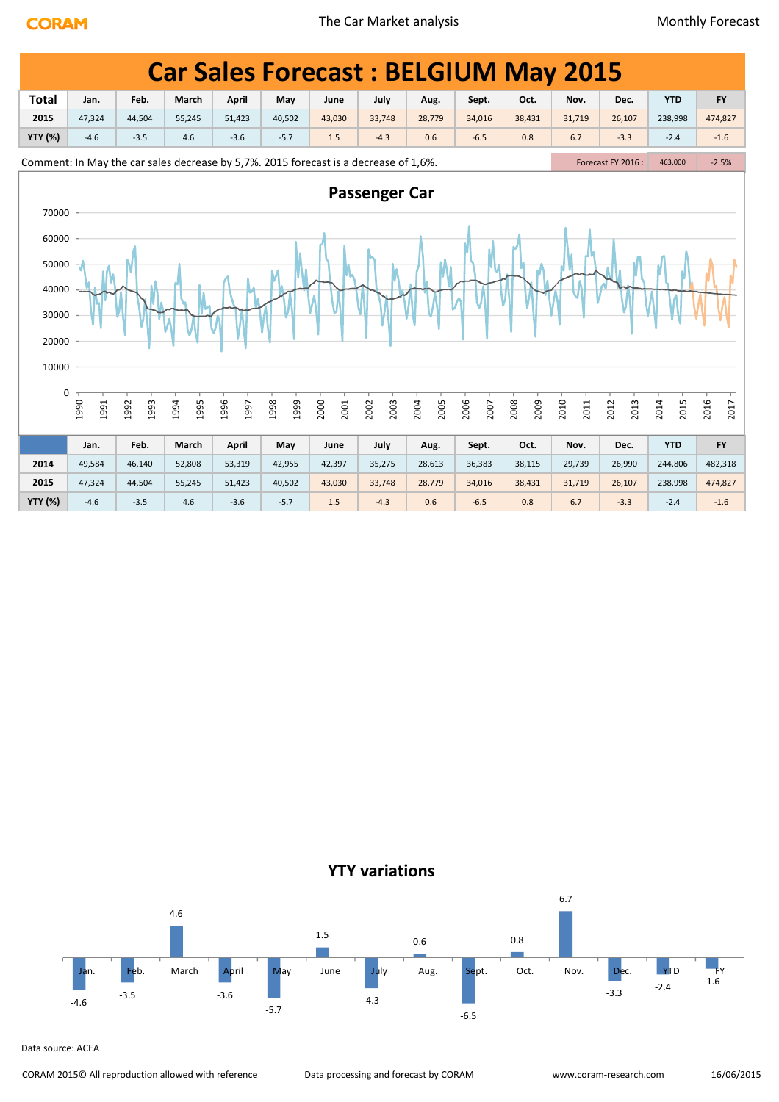|                      |              |              |              |                                                                                      |              |              |                      |              |              | <b>Car Sales Forecast: BELGIUM May 2015</b> |              |                    |              |              |
|----------------------|--------------|--------------|--------------|--------------------------------------------------------------------------------------|--------------|--------------|----------------------|--------------|--------------|---------------------------------------------|--------------|--------------------|--------------|--------------|
| <b>Total</b>         | Jan.         | Feb.         | March        | April                                                                                | May          | June         | July                 | Aug.         | Sept.        | Oct.                                        | Nov.         | Dec.               | <b>YTD</b>   | <b>FY</b>    |
| 2015                 | 47,324       | 44,504       | 55,245       | 51,423                                                                               | 40,502       | 43,030       | 33,748               | 28,779       | 34,016       | 38,431                                      | 31,719       | 26,107             | 238,998      | 474,827      |
| <b>YTY (%)</b>       | $-4.6$       | $-3.5$       | 4.6          | $-3.6$                                                                               | $-5.7$       | 1.5          | $-4.3$               | 0.6          | $-6.5$       | 0.8                                         | 6.7          | $-3.3$             | $-2.4$       | $-1.6$       |
|                      |              |              |              | Comment: In May the car sales decrease by 5,7%. 2015 forecast is a decrease of 1,6%. |              |              |                      |              |              |                                             |              | Forecast FY 2016 : | 463,000      | $-2.5%$      |
| 70000<br>60000       |              |              |              |                                                                                      |              |              | <b>Passenger Car</b> |              |              |                                             |              |                    |              |              |
| 50000<br>40000       |              |              |              |                                                                                      |              |              |                      |              |              |                                             |              |                    |              |              |
| 30000<br>20000       |              |              |              |                                                                                      |              |              |                      |              |              |                                             |              |                    |              |              |
| 10000<br>$\mathbf 0$ |              |              |              |                                                                                      |              |              |                      |              |              |                                             |              |                    |              |              |
|                      | 1990<br>1991 | 1993<br>1992 | 1995<br>1994 | 1996<br>1997                                                                         | 1999<br>1998 | 2000<br>2001 | 2002<br>2003         | 2005<br>2004 | 2006<br>2007 | 2008<br>2009                                | 2010<br>2011 | 2012<br>2013       | 2014<br>2015 | 2016<br>2017 |
|                      | Jan.         | Feb.         | March        | April                                                                                | May          | June         | July                 | Aug.         | Sept.        | Oct.                                        | Nov.         | Dec.               | <b>YTD</b>   | <b>FY</b>    |
| 2014                 | 49,584       | 46,140       | 52,808       | 53,319                                                                               | 42,955       | 42,397       | 35,275               | 28,613       | 36,383       | 38,115                                      | 29,739       | 26,990             | 244,806      | 482,318      |
| 2015                 | 47,324       | 44,504       | 55,245       | 51,423                                                                               | 40,502       | 43,030       | 33,748               | 28,779       | 34,016       | 38,431                                      | 31,719       | 26,107             | 238,998      | 474,827      |
| <b>YTY (%)</b>       | $-4.6$       | $-3.5$       | 4.6          | $-3.6$                                                                               | $-5.7$       | 1.5          | $-4.3$               | 0.6          | $-6.5$       | 0.8                                         | 6.7          | $-3.3$             | $-2.4$       | $-1.6$       |



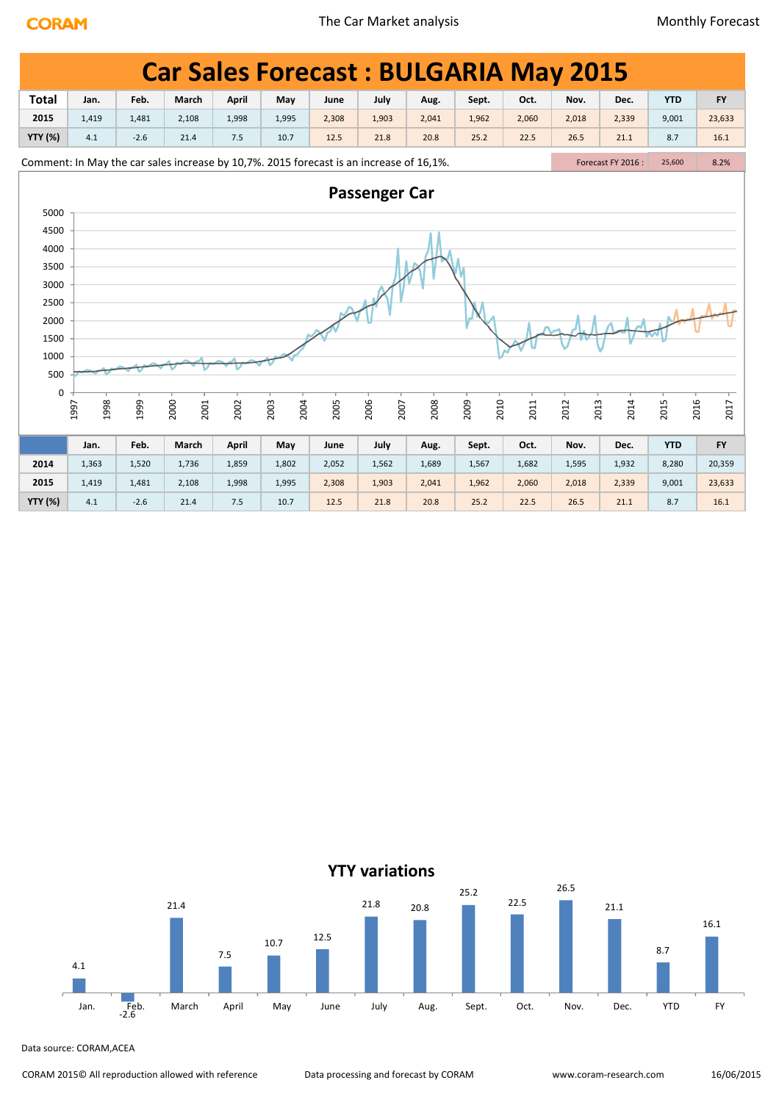|                |                                                                                                                                                                                                                                                                                                                                                                                                              |        | <b>Car Sales Forecast: BULGARIA May 2015</b> |              |              |       |              |       |              |       |              |       |              |           |  |
|----------------|--------------------------------------------------------------------------------------------------------------------------------------------------------------------------------------------------------------------------------------------------------------------------------------------------------------------------------------------------------------------------------------------------------------|--------|----------------------------------------------|--------------|--------------|-------|--------------|-------|--------------|-------|--------------|-------|--------------|-----------|--|
| <b>Total</b>   | Jan.                                                                                                                                                                                                                                                                                                                                                                                                         | Feb.   | March                                        | <b>April</b> | May          | June  | July         | Aug.  | Sept.        | Oct.  | Nov.         | Dec.  | <b>YTD</b>   | <b>FY</b> |  |
| 2015           | 1,419<br>2,108<br>1,903<br>2,018<br>9,001<br>23,633<br>1,481<br>1,998<br>1,995<br>2,308<br>2,041<br>1,962<br>2,060<br>2,339<br>4.1<br>$-2.6$<br>7.5<br>25.2<br>22.5<br>26.5<br>8.7<br>16.1<br>21.4<br>10.7<br>12.5<br>21.8<br>20.8<br>21.1<br>Comment: In May the car sales increase by 10,7%. 2015 forecast is an increase of 16,1%.<br>Forecast FY 2016:<br>8.2%<br>25,600<br><b>Passenger Car</b><br>5000 |        |                                              |              |              |       |              |       |              |       |              |       |              |           |  |
| <b>YTY (%)</b> |                                                                                                                                                                                                                                                                                                                                                                                                              |        |                                              |              |              |       |              |       |              |       |              |       |              |           |  |
|                |                                                                                                                                                                                                                                                                                                                                                                                                              |        |                                              |              |              |       |              |       |              |       |              |       |              |           |  |
|                |                                                                                                                                                                                                                                                                                                                                                                                                              |        |                                              |              |              |       |              |       |              |       |              |       |              |           |  |
|                |                                                                                                                                                                                                                                                                                                                                                                                                              |        |                                              |              |              |       |              |       |              |       |              |       |              |           |  |
| 4500           |                                                                                                                                                                                                                                                                                                                                                                                                              |        |                                              |              |              |       |              |       |              |       |              |       |              |           |  |
| 4000           |                                                                                                                                                                                                                                                                                                                                                                                                              |        |                                              |              |              |       |              |       |              |       |              |       |              |           |  |
| 3500<br>3000   |                                                                                                                                                                                                                                                                                                                                                                                                              |        |                                              |              |              |       |              |       |              |       |              |       |              |           |  |
| 2500           |                                                                                                                                                                                                                                                                                                                                                                                                              |        |                                              |              |              |       |              |       |              |       |              |       |              |           |  |
| 2000           |                                                                                                                                                                                                                                                                                                                                                                                                              |        |                                              |              |              |       |              |       |              |       |              |       |              |           |  |
| 1500           |                                                                                                                                                                                                                                                                                                                                                                                                              |        |                                              |              |              |       |              |       |              |       |              |       |              |           |  |
| 1000           |                                                                                                                                                                                                                                                                                                                                                                                                              |        |                                              |              |              |       |              |       |              |       |              |       |              |           |  |
| 500            |                                                                                                                                                                                                                                                                                                                                                                                                              |        |                                              |              |              |       |              |       |              |       |              |       |              |           |  |
| 0              |                                                                                                                                                                                                                                                                                                                                                                                                              |        |                                              |              |              |       |              |       |              |       |              |       |              |           |  |
|                | 1998<br>1997                                                                                                                                                                                                                                                                                                                                                                                                 | 1999   | 2000<br>2001                                 | 2002         | 2003<br>2004 | 2005  | 2006<br>2007 | 2008  | 2010<br>2009 | 2011  | 2013<br>2012 | 2014  | 2016<br>2015 | 2017      |  |
|                |                                                                                                                                                                                                                                                                                                                                                                                                              |        |                                              |              |              |       |              |       |              |       |              |       |              |           |  |
|                | Jan.                                                                                                                                                                                                                                                                                                                                                                                                         | Feb.   | March                                        | <b>April</b> | May          | June  | July         | Aug.  | Sept.        | Oct.  | Nov.         | Dec.  | <b>YTD</b>   | <b>FY</b> |  |
| 2014           | 1,363                                                                                                                                                                                                                                                                                                                                                                                                        | 1,520  | 1,736                                        | 1,859        | 1,802        | 2,052 | 1,562        | 1,689 | 1,567        | 1,682 | 1,595        | 1,932 | 8,280        | 20,359    |  |
| 2015           | 1,419                                                                                                                                                                                                                                                                                                                                                                                                        | 1,481  | 2,108                                        | 1,998        | 1,995        | 2,308 | 1,903        | 2,041 | 1,962        | 2,060 | 2,018        | 2,339 | 9,001        | 23,633    |  |
| <b>YTY (%)</b> | 4.1                                                                                                                                                                                                                                                                                                                                                                                                          | $-2.6$ | 21.4                                         | 7.5          | 10.7         | 12.5  | 21.8         | 20.8  | 25.2         | 22.5  | 26.5         | 21.1  | 8.7          | 16.1      |  |

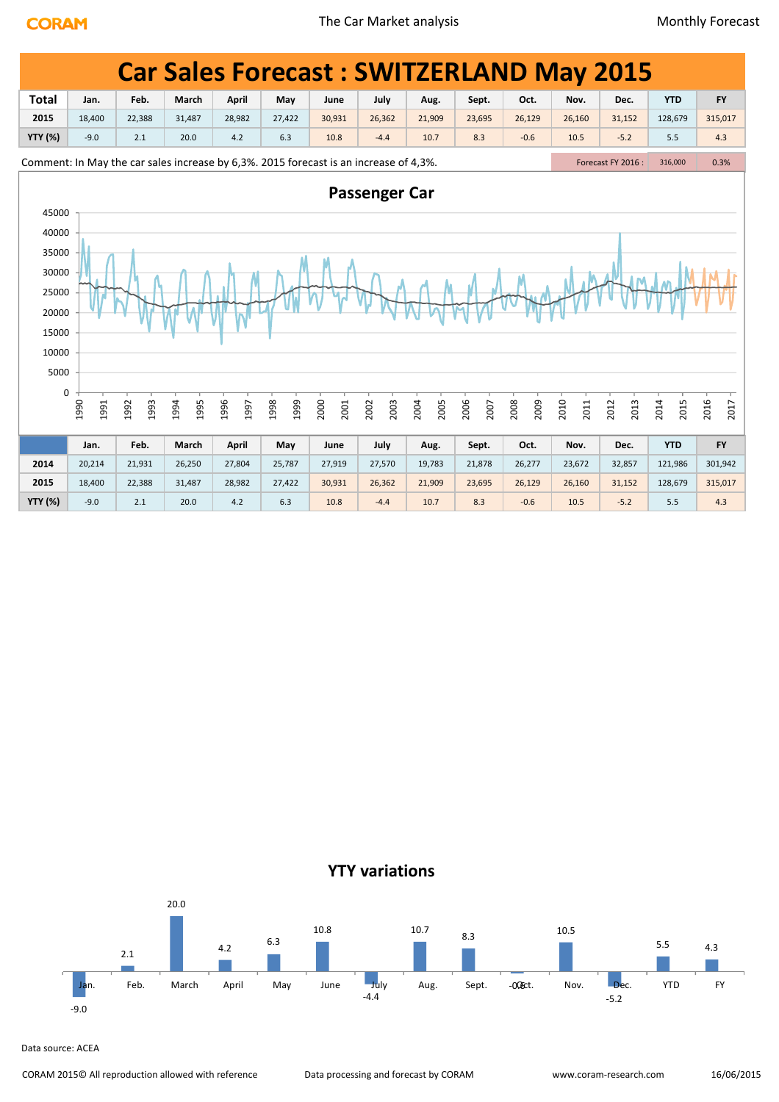|                |                                        |              |              |              |                                                                                       |              |              |              |              | <b>Car Sales Forecast: SWITZERLAND May 2015</b> |              |                    |              |              |
|----------------|----------------------------------------|--------------|--------------|--------------|---------------------------------------------------------------------------------------|--------------|--------------|--------------|--------------|-------------------------------------------------|--------------|--------------------|--------------|--------------|
| <b>Total</b>   | Jan.                                   | Feb.         | March        | <b>April</b> | May                                                                                   | June         | July         | Aug.         | Sept.        | Oct.                                            | Nov.         | Dec.               | <b>YTD</b>   | <b>FY</b>    |
| 2015           | 18,400                                 | 22,388       | 31,487       | 28,982       | 27,422                                                                                | 30,931       | 26,362       | 21,909       | 23,695       | 26,129                                          | 26,160       | 31,152             | 128,679      | 315,017      |
| <b>YTY (%)</b> | $-9.0$                                 | 2.1          | 20.0         | 4.2          | 6.3                                                                                   | 10.8         | $-4.4$       | 10.7         | 8.3          | $-0.6$                                          | 10.5         | $-5.2$             | 5.5          | 4.3          |
|                |                                        |              |              |              | Comment: In May the car sales increase by 6,3%. 2015 forecast is an increase of 4,3%. |              |              |              |              |                                                 |              | Forecast FY 2016 : | 316,000      | 0.3%         |
|                | <b>Passenger Car</b><br>45000<br>40000 |              |              |              |                                                                                       |              |              |              |              |                                                 |              |                    |              |              |
|                |                                        |              |              |              |                                                                                       |              |              |              |              |                                                 |              |                    |              |              |
| 35000          |                                        |              |              |              |                                                                                       |              |              |              |              |                                                 |              |                    |              |              |
| 30000          |                                        |              |              |              |                                                                                       |              |              |              |              |                                                 |              |                    |              |              |
| 25000          |                                        |              |              |              |                                                                                       |              |              |              |              |                                                 |              |                    |              |              |
| 20000          |                                        |              |              |              |                                                                                       |              |              |              |              |                                                 |              |                    |              |              |
| 15000          |                                        |              |              |              |                                                                                       |              |              |              |              |                                                 |              |                    |              |              |
| 10000          |                                        |              |              |              |                                                                                       |              |              |              |              |                                                 |              |                    |              |              |
| 5000           |                                        |              |              |              |                                                                                       |              |              |              |              |                                                 |              |                    |              |              |
| $\pmb{0}$      |                                        |              |              |              |                                                                                       |              |              |              |              |                                                 |              |                    |              |              |
|                | 1990<br>1991                           | 1992<br>1993 | 1994<br>1995 | 1996<br>1997 | 1999<br>1998                                                                          | 2000<br>2001 | 2003<br>2002 | 2004<br>2005 | 2006<br>2007 | 2008<br>2009                                    | 2010<br>2011 | 2012<br>2013       | 2014<br>2015 | 2016<br>2017 |
|                | Jan.                                   | Feb.         | March        | <b>April</b> | May                                                                                   | June         | July         | Aug.         | Sept.        | Oct.                                            | Nov.         | Dec.               | <b>YTD</b>   | <b>FY</b>    |
| 2014           | 20,214                                 | 21,931       | 26,250       | 27,804       | 25,787                                                                                | 27,919       | 27,570       | 19,783       | 21,878       | 26,277                                          | 23,672       | 32,857             | 121,986      | 301,942      |
| 2015           | 18,400                                 | 22,388       | 31,487       | 28,982       | 27,422                                                                                | 30,931       | 26,362       | 21,909       | 23,695       | 26,129                                          | 26,160       | 31,152             | 128,679      | 315,017      |
| <b>YTY (%)</b> | $-9.0$                                 | 2.1          | 20.0         | 4.2          | 6.3                                                                                   | 10.8         | $-4.4$       | 10.7         | 8.3          | $-0.6$                                          | 10.5         | $-5.2$             | 5.5          | 4.3          |

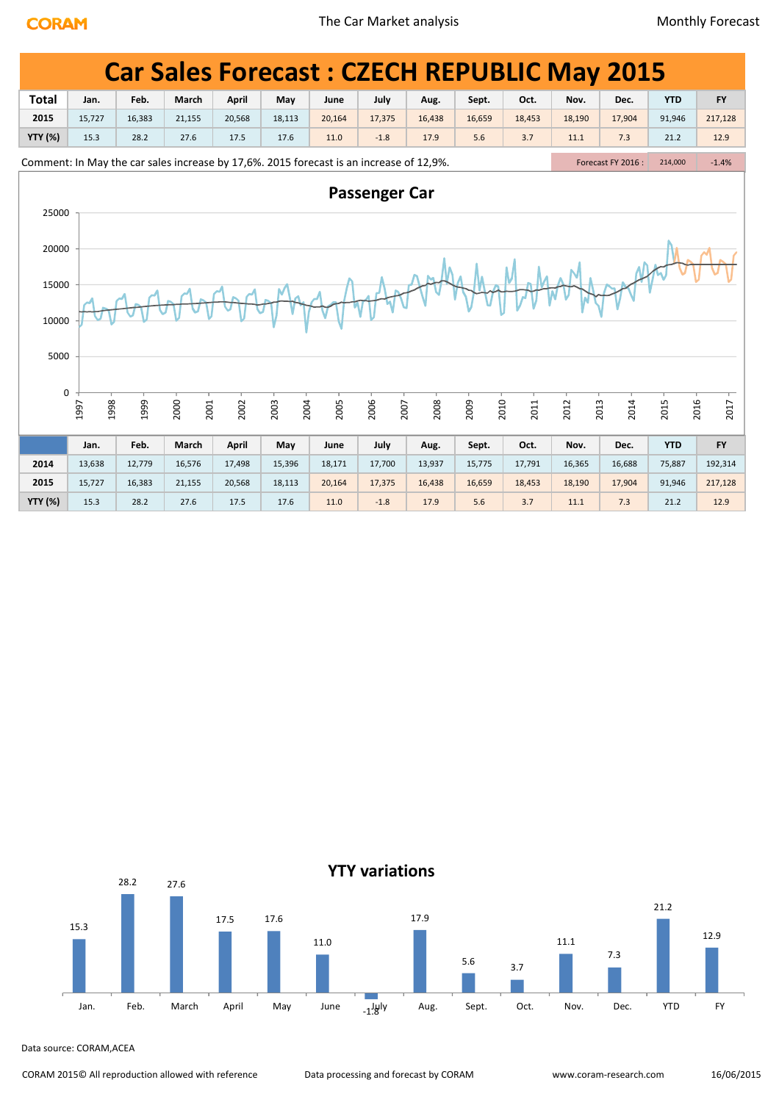| <b>Total</b> | <b>Car Sales Forecast: CZECH REPUBLIC May 2015</b><br><b>YTD</b><br>Feb.<br>March<br>April<br>July<br>Oct.<br><b>FY</b><br>May<br>Sept.<br>Nov.<br>Dec.<br>Jan.<br>June<br>Aug.<br>2015<br>18,190<br>15,727<br>21,155<br>17,375<br>16,438<br>16,659<br>18,453<br>17,904<br>91,946<br>217,128<br>16,383<br>20,568<br>18,113<br>20,164<br><b>YTY (%)</b><br>15.3<br>28.2<br>27.6<br>5.6<br>3.7<br>7.3<br>12.9<br>17.5<br>17.6<br>11.0<br>$-1.8$<br>17.9<br>11.1<br>21.2<br>Forecast FY 2016 :<br>$-1.4%$<br>214,000 |        |              |        |              |        |              |        |              |        |              |        |              |           |  |
|--------------|-------------------------------------------------------------------------------------------------------------------------------------------------------------------------------------------------------------------------------------------------------------------------------------------------------------------------------------------------------------------------------------------------------------------------------------------------------------------------------------------------------------------|--------|--------------|--------|--------------|--------|--------------|--------|--------------|--------|--------------|--------|--------------|-----------|--|
|              | Comment: In May the car sales increase by 17,6%. 2015 forecast is an increase of 12,9%.<br><b>Passenger Car</b><br>25000                                                                                                                                                                                                                                                                                                                                                                                          |        |              |        |              |        |              |        |              |        |              |        |              |           |  |
|              |                                                                                                                                                                                                                                                                                                                                                                                                                                                                                                                   |        |              |        |              |        |              |        |              |        |              |        |              |           |  |
|              |                                                                                                                                                                                                                                                                                                                                                                                                                                                                                                                   |        |              |        |              |        |              |        |              |        |              |        |              |           |  |
|              |                                                                                                                                                                                                                                                                                                                                                                                                                                                                                                                   |        |              |        |              |        |              |        |              |        |              |        |              |           |  |
| 20000        |                                                                                                                                                                                                                                                                                                                                                                                                                                                                                                                   |        |              |        |              |        |              |        |              |        |              |        |              |           |  |
| 15000        |                                                                                                                                                                                                                                                                                                                                                                                                                                                                                                                   |        |              |        |              |        |              |        |              |        |              |        |              |           |  |
| 10000        |                                                                                                                                                                                                                                                                                                                                                                                                                                                                                                                   |        |              |        |              |        |              |        |              |        |              |        |              |           |  |
| 5000         |                                                                                                                                                                                                                                                                                                                                                                                                                                                                                                                   |        |              |        |              |        |              |        |              |        |              |        |              |           |  |
| 0            |                                                                                                                                                                                                                                                                                                                                                                                                                                                                                                                   |        |              |        |              |        |              |        |              |        |              |        |              |           |  |
|              | 1998<br>1997                                                                                                                                                                                                                                                                                                                                                                                                                                                                                                      | 1999   | 2000<br>2001 | 2002   | 2003<br>2004 | 2005   | 2006<br>2007 | 2008   | 2009<br>2010 | 2011   | 2012<br>2013 | 2014   | 2016<br>2015 | 2017      |  |
|              | Jan.                                                                                                                                                                                                                                                                                                                                                                                                                                                                                                              | Feb.   | March        | April  | May          | June   | July         | Aug.   | Sept.        | Oct.   | Nov.         | Dec.   | <b>YTD</b>   | <b>FY</b> |  |
| 2014         | 13,638                                                                                                                                                                                                                                                                                                                                                                                                                                                                                                            | 12,779 | 16,576       | 17,498 | 15,396       | 18,171 | 17,700       | 13,937 | 15,775       | 17,791 | 16,365       | 16,688 | 75,887       | 192,314   |  |
| 2015         | 15,727                                                                                                                                                                                                                                                                                                                                                                                                                                                                                                            | 16,383 | 21,155       | 20,568 | 18,113       | 20,164 | 17,375       | 16,438 | 16,659       | 18,453 | 18,190       | 17,904 | 91,946       |           |  |
|              |                                                                                                                                                                                                                                                                                                                                                                                                                                                                                                                   |        |              |        |              |        |              |        |              |        |              |        |              | 217,128   |  |

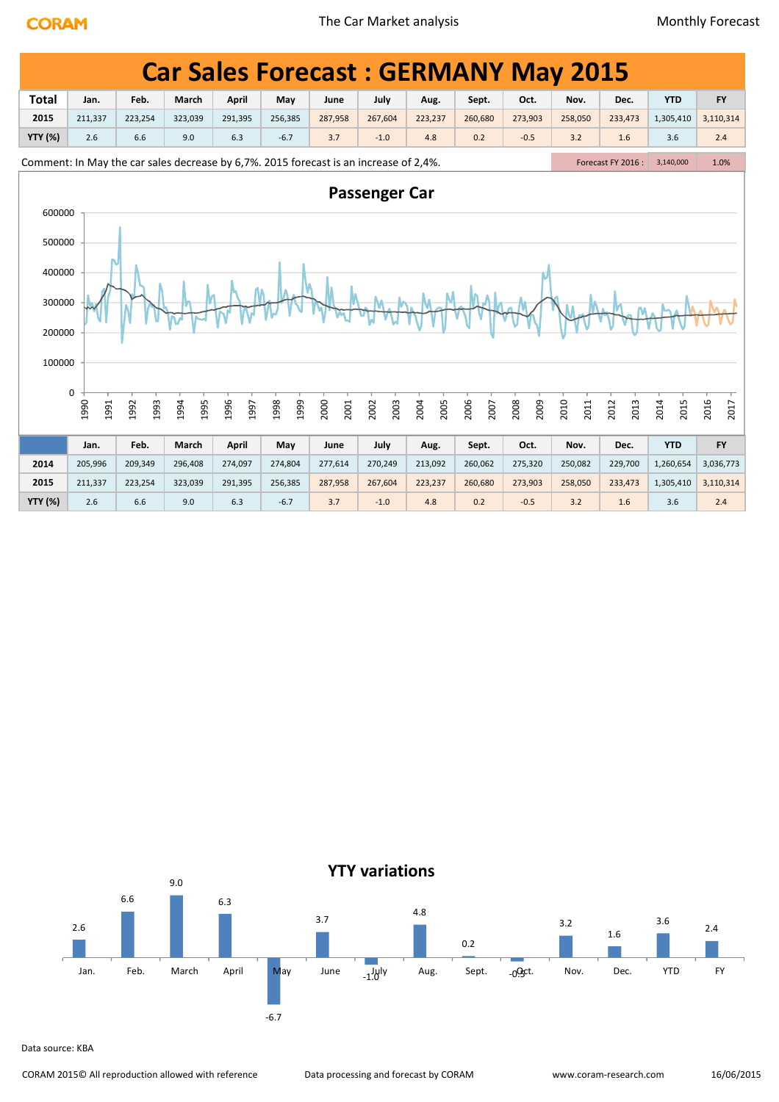|                |                                          |              |              |              |                                                                                       |              |              |              |              | <b>Car Sales Forecast: GERMANY May 2015</b> |              |                    |              |              |
|----------------|------------------------------------------|--------------|--------------|--------------|---------------------------------------------------------------------------------------|--------------|--------------|--------------|--------------|---------------------------------------------|--------------|--------------------|--------------|--------------|
| <b>Total</b>   | Jan.                                     | Feb.         | March        | April        | May                                                                                   | June         | July         | Aug.         | Sept.        | Oct.                                        | Nov.         | Dec.               | <b>YTD</b>   | <b>FY</b>    |
| 2015           | 211,337                                  | 223,254      | 323,039      | 291,395      | 256,385                                                                               | 287,958      | 267,604      | 223,237      | 260,680      | 273,903                                     | 258,050      | 233,473            | 1,305,410    | 3,110,314    |
| <b>YTY (%)</b> | 2.6                                      | 6.6          | 9.0          | 6.3          | $-6.7$                                                                                | 3.7          | $-1.0$       | 4.8          | 0.2          | $-0.5$                                      | 3.2          | 1.6                | 3.6          | 2.4          |
|                |                                          |              |              |              | Comment: In May the car sales decrease by 6,7%. 2015 forecast is an increase of 2,4%. |              |              |              |              |                                             |              | Forecast FY 2016 : | 3,140,000    | 1.0%         |
|                | <b>Passenger Car</b><br>600000<br>500000 |              |              |              |                                                                                       |              |              |              |              |                                             |              |                    |              |              |
|                |                                          |              |              |              |                                                                                       |              |              |              |              |                                             |              |                    |              |              |
| 400000         |                                          |              |              |              |                                                                                       |              |              |              |              |                                             |              |                    |              |              |
| 300000         |                                          |              |              |              |                                                                                       |              |              |              |              |                                             |              |                    |              |              |
| 200000         |                                          |              |              |              |                                                                                       |              |              |              |              |                                             |              |                    |              |              |
| 100000         | $\pmb{0}$                                |              |              |              |                                                                                       |              |              |              |              |                                             |              |                    |              |              |
|                | 1990<br>1991                             | 1992<br>1993 | 1994<br>1995 | 1996<br>1997 | 1998<br>1999                                                                          | 2000<br>2001 | 2003<br>2002 | 2005<br>2004 | 2006<br>2007 | 2008<br>2009                                | 2010<br>2011 | 2012<br>2013       | 2014<br>2015 | 2016<br>2017 |
|                | Jan.                                     | Feb.         | March        | April        | May                                                                                   | June         | July         | Aug.         | Sept.        | Oct.                                        | Nov.         | Dec.               | <b>YTD</b>   | <b>FY</b>    |
| 2014           | 205,996                                  | 209,349      | 296,408      | 274,097      | 274,804                                                                               | 277,614      | 270,249      | 213,092      | 260,062      | 275,320                                     | 250,082      | 229,700            | 1,260,654    | 3,036,773    |
| 2015           | 211,337                                  | 223,254      | 323,039      | 291,395      | 256,385                                                                               | 287,958      | 267,604      | 223,237      | 260,680      | 273,903                                     | 258,050      | 233,473            | 1,305,410    | 3,110,314    |
| <b>YTY (%)</b> | 2.6                                      | 6.6          | 9.0          | 6.3          | $-6.7$                                                                                | 3.7          | $-1.0$       | 4.8          | 0.2          | $-0.5$                                      | 3.2          | 1.6                | 3.6          | 2.4          |



Data source: KBA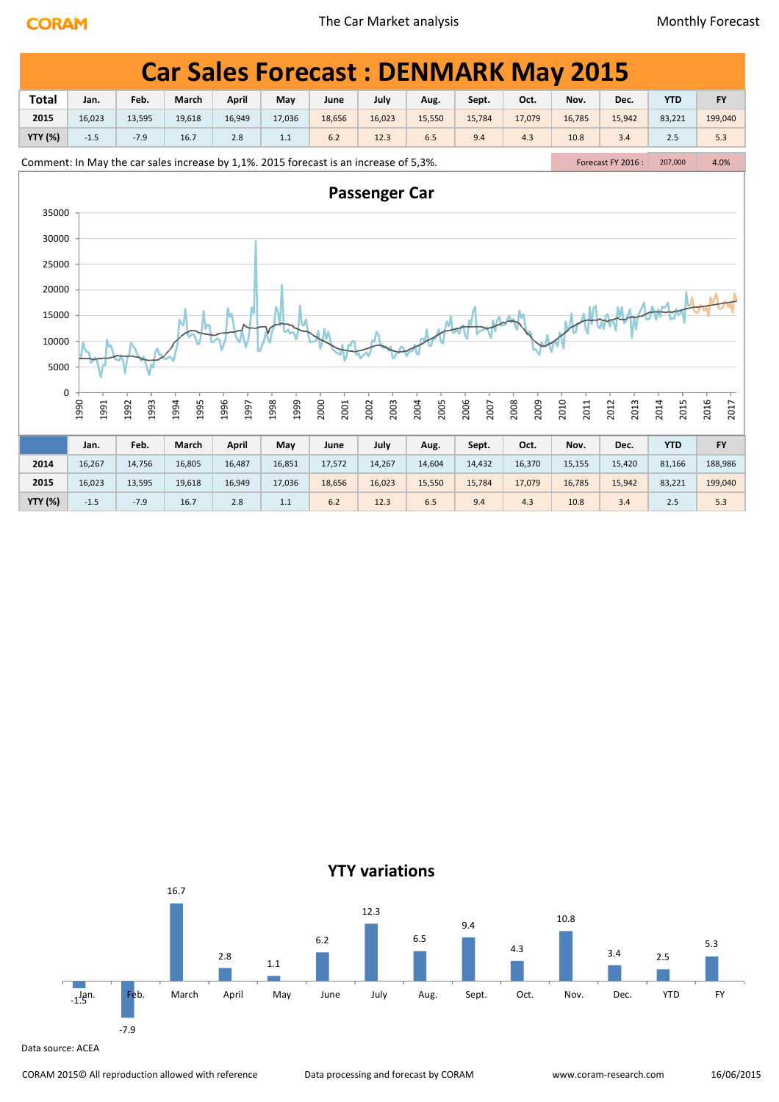|                |              |              |                                                                                       |              |              |              |                      |              |              | <b>Car Sales Forecast: DENMARK May 2015</b> |              |                    |              |              |
|----------------|--------------|--------------|---------------------------------------------------------------------------------------|--------------|--------------|--------------|----------------------|--------------|--------------|---------------------------------------------|--------------|--------------------|--------------|--------------|
| <b>Total</b>   | Jan.         | Feb.         | March                                                                                 | <b>April</b> | May          | June         | July                 | Aug.         | Sept.        | Oct.                                        | Nov.         | Dec.               | <b>YTD</b>   | <b>FY</b>    |
| 2015           | 16,023       | 13,595       | 19,618                                                                                | 16,949       | 17,036       | 18,656       | 16,023               | 15,550       | 15,784       | 17,079                                      | 16,785       | 15,942             | 83,221       | 199,040      |
| <b>YTY (%)</b> | $-1.5$       | $-7.9$       | 16.7                                                                                  | 2.8          | 1.1          | 6.2          | 12.3                 | 6.5          | 9.4          | 4.3                                         | 10.8         | 3.4                | 2.5          | 5.3          |
|                |              |              | Comment: In May the car sales increase by 1,1%. 2015 forecast is an increase of 5,3%. |              |              |              |                      |              |              |                                             |              | Forecast FY 2016 : | 207,000      | 4.0%         |
| 35000          |              |              |                                                                                       |              |              |              | <b>Passenger Car</b> |              |              |                                             |              |                    |              |              |
| 30000          |              |              |                                                                                       |              |              |              |                      |              |              |                                             |              |                    |              |              |
| 25000          |              |              |                                                                                       |              |              |              |                      |              |              |                                             |              |                    |              |              |
| 20000          |              |              |                                                                                       |              |              |              |                      |              |              |                                             |              |                    |              |              |
| 15000          |              |              |                                                                                       |              |              |              |                      |              |              |                                             |              |                    |              |              |
| 10000          |              |              |                                                                                       |              |              |              |                      |              |              |                                             |              |                    |              |              |
| 5000           |              |              |                                                                                       |              |              |              |                      |              |              |                                             |              |                    |              |              |
| 0              | 1990<br>1991 | 1993<br>1992 | 1995<br>1994                                                                          | 1996<br>1997 | 1999<br>1998 | 2000<br>2001 | 2003<br>2002         | 2004<br>2005 | 2006<br>2007 | 2008<br>2009                                | 2010<br>2011 | 2013<br>2012       | 2014<br>2015 | 2016<br>2017 |
|                | Jan.         | Feb.         | March                                                                                 | April        | May          | June         | July                 | Aug.         | Sept.        | Oct.                                        | Nov.         | Dec.               | <b>YTD</b>   | <b>FY</b>    |
| 2014           | 16,267       | 14,756       | 16,805                                                                                | 16,487       | 16,851       | 17,572       | 14,267               | 14,604       | 14,432       | 16,370                                      | 15,155       | 15,420             | 81,166       | 188,986      |
| 2015           | 16,023       | 13,595       | 19,618                                                                                | 16,949       | 17,036       | 18,656       | 16,023               | 15,550       | 15,784       | 17,079                                      | 16,785       | 15,942             | 83,221       | 199,040      |
| <b>YTY (%)</b> | $-1.5$       | $-7.9$       | 16.7                                                                                  | 2.8          | 1.1          | 6.2          | 12.3                 | 6.5          | 9.4          | 4.3                                         | 10.8         | 3.4                | 2.5          | 5.3          |

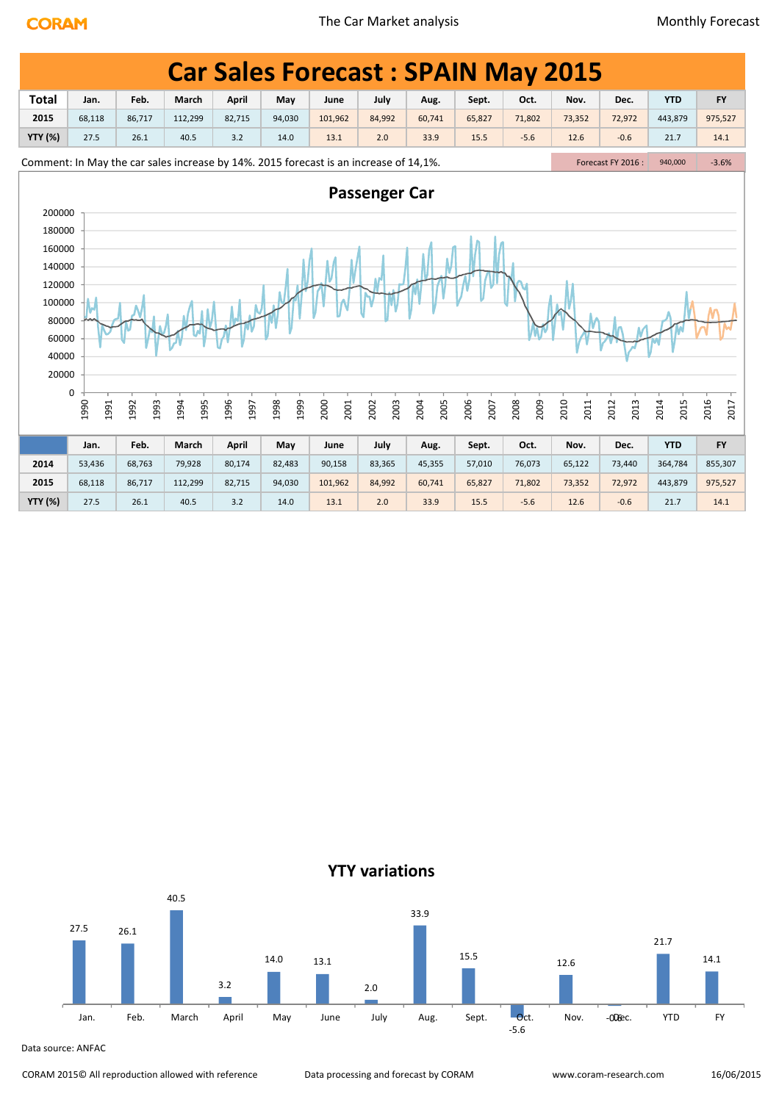|                                    |                                                                                                                                                                                                                                                                                                                                                                                                                       |              |              |              |              |              |              | <b>Car Sales Forecast: SPAIN May 2015</b> |              |              |              |              |              |              |  |
|------------------------------------|-----------------------------------------------------------------------------------------------------------------------------------------------------------------------------------------------------------------------------------------------------------------------------------------------------------------------------------------------------------------------------------------------------------------------|--------------|--------------|--------------|--------------|--------------|--------------|-------------------------------------------|--------------|--------------|--------------|--------------|--------------|--------------|--|
| <b>Total</b>                       | Feb.<br>March<br>July<br><b>YTD</b><br>April<br>May<br>Oct.<br>Nov.<br><b>FY</b><br>Jan.<br>June<br>Sept.<br>Dec.<br>Aug.<br>2015<br>112,299<br>84,992<br>65,827<br>73,352<br>443,879<br>975,527<br>68,118<br>86,717<br>82,715<br>94,030<br>101,962<br>60,741<br>71,802<br>72,972<br><b>YTY (%)</b><br>27.5<br>26.1<br>40.5<br>3.2<br>14.0<br>13.1<br>2.0<br>33.9<br>15.5<br>$-5.6$<br>12.6<br>$-0.6$<br>21.7<br>14.1 |              |              |              |              |              |              |                                           |              |              |              |              |              |              |  |
|                                    | Comment: In May the car sales increase by 14%. 2015 forecast is an increase of 14,1%.<br>Forecast FY 2016:<br>$-3.6%$<br>940,000<br><b>Passenger Car</b>                                                                                                                                                                                                                                                              |              |              |              |              |              |              |                                           |              |              |              |              |              |              |  |
|                                    | 200000                                                                                                                                                                                                                                                                                                                                                                                                                |              |              |              |              |              |              |                                           |              |              |              |              |              |              |  |
|                                    |                                                                                                                                                                                                                                                                                                                                                                                                                       |              |              |              |              |              |              |                                           |              |              |              |              |              |              |  |
|                                    | 180000<br>160000<br>140000                                                                                                                                                                                                                                                                                                                                                                                            |              |              |              |              |              |              |                                           |              |              |              |              |              |              |  |
| 120000<br>100000<br>80000<br>60000 |                                                                                                                                                                                                                                                                                                                                                                                                                       |              |              |              |              |              |              |                                           |              |              |              |              |              |              |  |
| 40000<br>20000                     | 0<br>1990<br>1991                                                                                                                                                                                                                                                                                                                                                                                                     | 1992<br>1993 | 1994<br>1995 | 1996<br>1997 | 1998<br>1999 | 2000<br>2001 | 2003<br>2002 | 2005<br>2004                              | 2006<br>2007 | 2008<br>2009 | 2010<br>2011 | 2012<br>2013 | 2014<br>2015 | 2016<br>2017 |  |
|                                    |                                                                                                                                                                                                                                                                                                                                                                                                                       |              |              |              |              |              |              |                                           |              |              |              |              |              |              |  |
|                                    | Jan.                                                                                                                                                                                                                                                                                                                                                                                                                  | Feb.         | March        | April        | May          | June         | July         | Aug.                                      | Sept.        | Oct.         | Nov.         | Dec.         | <b>YTD</b>   | <b>FY</b>    |  |
| 2014                               | 53,436                                                                                                                                                                                                                                                                                                                                                                                                                | 68,763       | 79,928       | 80,174       | 82,483       | 90,158       | 83,365       | 45,355                                    | 57,010       | 76,073       | 65,122       | 73,440       | 364,784      | 855,307      |  |
| 2015                               | 68,118                                                                                                                                                                                                                                                                                                                                                                                                                | 86,717       | 112,299      | 82,715       | 94,030       | 101,962      | 84,992       | 60,741                                    | 65,827       | 71,802       | 73,352       | 72,972       | 443,879      | 975,527      |  |
| <b>YTY (%)</b>                     | 27.5                                                                                                                                                                                                                                                                                                                                                                                                                  | 26.1         | 40.5         | 3.2          | 14.0         | 13.1         | 2.0          | 33.9                                      | 15.5         | $-5.6$       | 12.6         | $-0.6$       | 21.7         | 14.1         |  |



Data source: ANFAC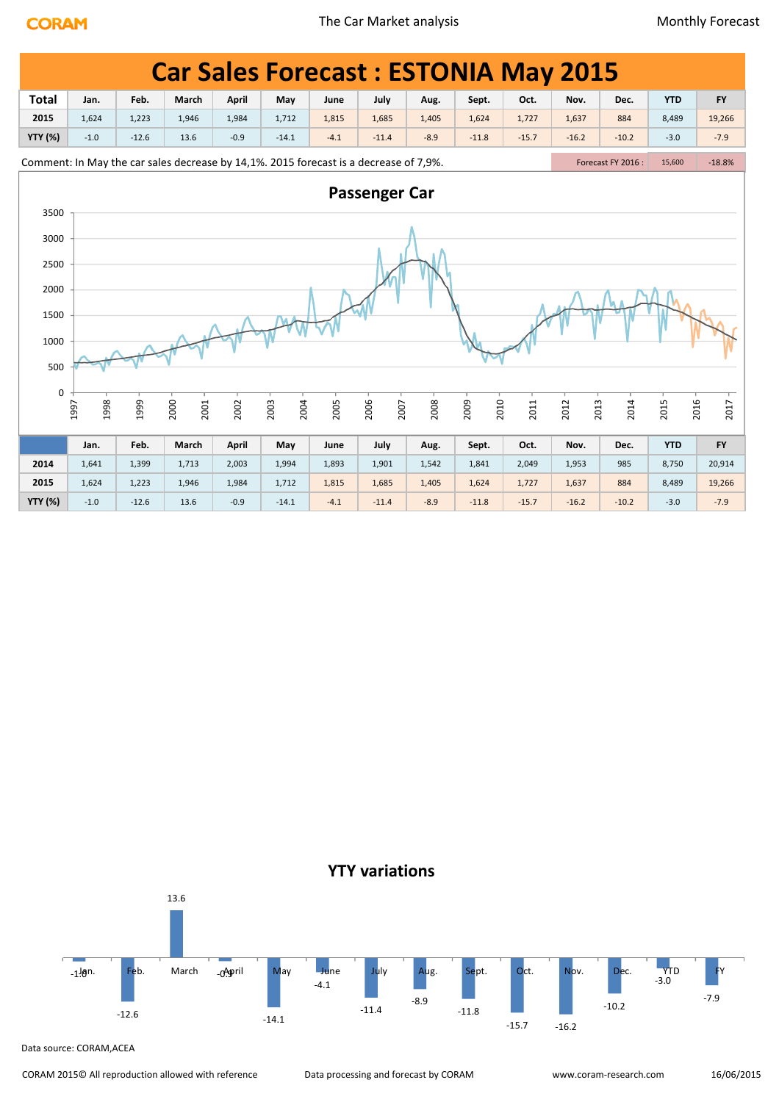|                |              |         | <b>Car Sales Forecast: ESTONIA May 2015</b>                                           |              |              |        |                      |        |              |         |              |                    |              |           |  |
|----------------|--------------|---------|---------------------------------------------------------------------------------------|--------------|--------------|--------|----------------------|--------|--------------|---------|--------------|--------------------|--------------|-----------|--|
| <b>Total</b>   | Jan.         | Feb.    | March                                                                                 | April        | May          | June   | July                 | Aug.   | Sept.        | Oct.    | Nov.         | Dec.               | <b>YTD</b>   | <b>FY</b> |  |
| 2015           | 1,624        | 1,223   | 1,946                                                                                 | 1,984        | 1,712        | 1,815  | 1,685                | 1,405  | 1,624        | 1,727   | 1,637        | 884                | 8,489        | 19,266    |  |
| <b>YTY (%)</b> | $-1.0$       | $-12.6$ | 13.6                                                                                  | $-0.9$       | $-14.1$      | $-4.1$ | $-11.4$              | $-8.9$ | $-11.8$      | $-15.7$ | $-16.2$      | $-10.2$            | $-3.0$       | $-7.9$    |  |
|                |              |         | Comment: In May the car sales decrease by 14,1%. 2015 forecast is a decrease of 7,9%. |              |              |        |                      |        |              |         |              | Forecast FY 2016 : | 15,600       | $-18.8%$  |  |
|                |              |         |                                                                                       |              |              |        | <b>Passenger Car</b> |        |              |         |              |                    |              |           |  |
| 3500           |              |         |                                                                                       |              |              |        |                      |        |              |         |              |                    |              |           |  |
| 3000           |              |         |                                                                                       |              |              |        |                      |        |              |         |              |                    |              |           |  |
| 2500           |              |         |                                                                                       |              |              |        |                      |        |              |         |              |                    |              |           |  |
| 2000           |              |         |                                                                                       |              |              |        |                      |        |              |         |              |                    |              |           |  |
| 1500           |              |         |                                                                                       |              |              |        |                      |        |              |         |              |                    |              |           |  |
| 1000           |              |         |                                                                                       |              |              |        |                      |        |              |         |              |                    |              |           |  |
| 500            |              |         |                                                                                       |              |              |        |                      |        |              |         |              |                    |              |           |  |
| 0              |              |         |                                                                                       |              |              |        |                      |        |              |         |              |                    |              |           |  |
|                | 1998<br>1997 | 1999    | 2000<br>2001                                                                          | 2002         | 2003<br>2004 | 2005   | 2006<br>2007         | 2008   | 2009<br>2010 | 2011    | 2012<br>2013 | 2014               | 2016<br>2015 | 2017      |  |
|                | Jan.         | Feb.    | March                                                                                 | <b>April</b> | May          | June   | July                 | Aug.   | Sept.        | Oct.    | Nov.         | Dec.               | <b>YTD</b>   | <b>FY</b> |  |
| 2014           | 1,641        | 1,399   | 1,713                                                                                 | 2,003        | 1,994        | 1,893  | 1,901                | 1,542  | 1,841        | 2,049   | 1,953        | 985                | 8,750        | 20,914    |  |
| 2015           | 1,624        | 1,223   | 1,946                                                                                 | 1,984        | 1,712        | 1,815  | 1,685                | 1,405  | 1,624        | 1,727   | 1,637        | 884                | 8,489        | 19,266    |  |
| <b>YTY (%)</b> | $-1.0$       | $-12.6$ | 13.6                                                                                  | $-0.9$       | $-14.1$      | $-4.1$ | $-11.4$              | $-8.9$ | $-11.8$      | $-15.7$ | $-16.2$      | $-10.2$            | $-3.0$       | $-7.9$    |  |

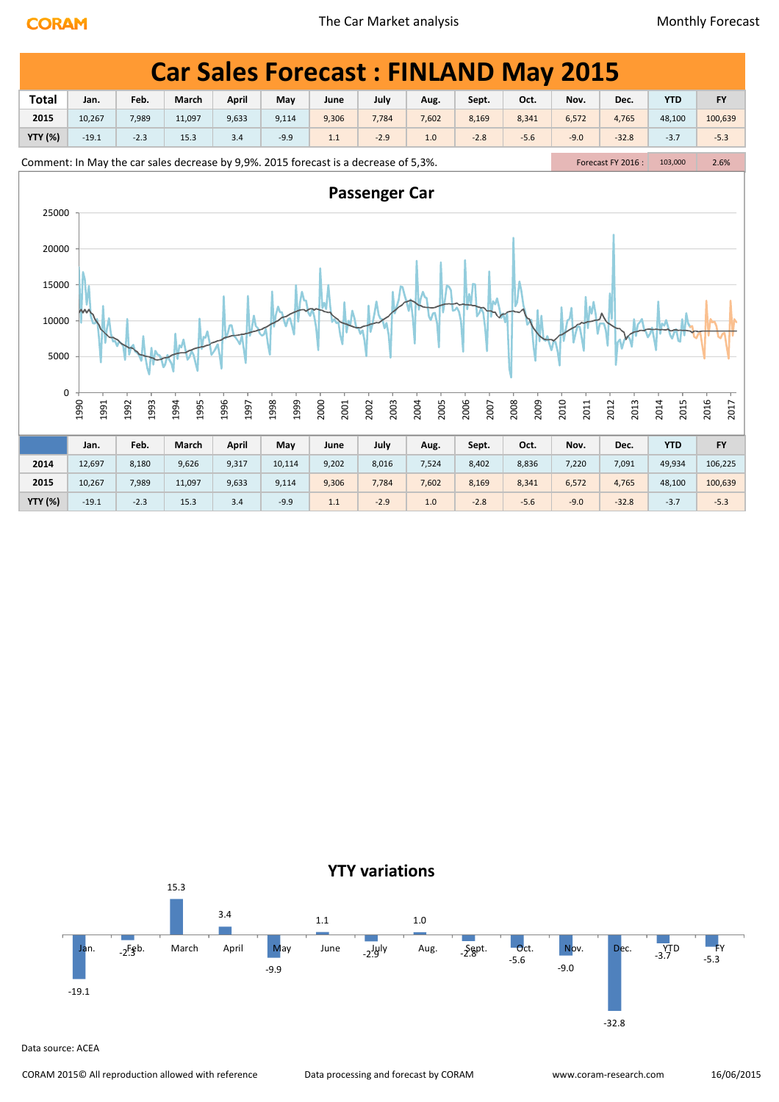|                |              |              |                                                                                      |              |              |              |                      |              |              | <b>Car Sales Forecast: FINLAND May 2015</b> |              |                    |              |              |
|----------------|--------------|--------------|--------------------------------------------------------------------------------------|--------------|--------------|--------------|----------------------|--------------|--------------|---------------------------------------------|--------------|--------------------|--------------|--------------|
| <b>Total</b>   | Jan.         | Feb.         | March                                                                                | April        | May          | June         | July                 | Aug.         | Sept.        | Oct.                                        | Nov.         | Dec.               | <b>YTD</b>   | <b>FY</b>    |
| 2015           | 10,267       | 7,989        | 11,097                                                                               | 9,633        | 9,114        | 9,306        | 7,784                | 7,602        | 8,169        | 8,341                                       | 6,572        | 4,765              | 48,100       | 100,639      |
| <b>YTY (%)</b> | $-19.1$      | $-2.3$       | 15.3                                                                                 | 3.4          | $-9.9$       | $1.1$        | $-2.9$               | 1.0          | $-2.8$       | $-5.6$                                      | $-9.0$       | $-32.8$            | $-3.7$       | $-5.3$       |
|                |              |              | Comment: In May the car sales decrease by 9,9%. 2015 forecast is a decrease of 5,3%. |              |              |              |                      |              |              |                                             |              | Forecast FY 2016 : | 103,000      | 2.6%         |
| 25000          |              |              |                                                                                      |              |              |              | <b>Passenger Car</b> |              |              |                                             |              |                    |              |              |
| 20000          |              |              |                                                                                      |              |              |              |                      |              |              |                                             |              |                    |              |              |
| 15000          |              |              |                                                                                      |              |              |              |                      |              |              |                                             |              |                    |              |              |
| 10000          |              |              |                                                                                      |              |              |              |                      |              |              |                                             |              |                    |              |              |
| 5000           |              |              |                                                                                      |              |              |              |                      |              |              |                                             |              |                    |              |              |
| $\mathbf 0$    |              |              |                                                                                      |              |              |              |                      |              |              |                                             |              |                    |              |              |
|                | 1990<br>1991 | 1993<br>1992 | 1995<br>1994                                                                         | 1996<br>1997 | 1999<br>1998 | 2000<br>2001 | 2003<br>2002         | 2004<br>2005 | 2006<br>2007 | 2008<br>2009                                | 2010<br>2011 | 2012<br>2013       | 2014<br>2015 | 2016<br>2017 |
|                | Jan.         | Feb.         | March                                                                                | April        | May          | June         | July                 | Aug.         | Sept.        | Oct.                                        | Nov.         | Dec.               | <b>YTD</b>   | <b>FY</b>    |
| 2014           | 12,697       | 8,180        | 9,626                                                                                | 9,317        | 10,114       | 9,202        | 8,016                | 7,524        | 8,402        | 8,836                                       | 7,220        | 7,091              | 49,934       | 106,225      |
| 2015           | 10,267       | 7,989        | 11,097                                                                               | 9,633        | 9,114        | 9,306        | 7,784                | 7,602        | 8,169        | 8,341                                       | 6,572        | 4,765              | 48,100       | 100,639      |
| <b>YTY (%)</b> | $-19.1$      | $-2.3$       | 15.3                                                                                 | 3.4          | $-9.9$       | 1.1          | $-2.9$               | $1.0$        | $-2.8$       | $-5.6$                                      | $-9.0$       | $-32.8$            | $-3.7$       | $-5.3$       |

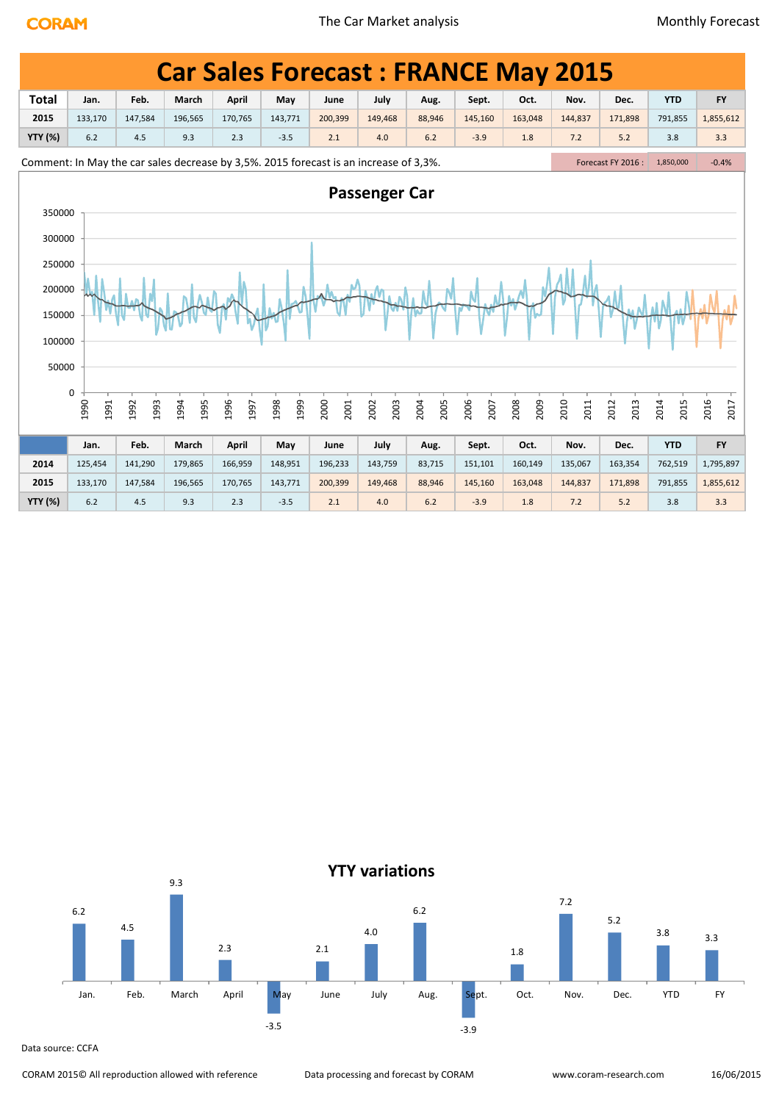|                           | <b>Car Sales Forecast: FRANCE May 2015</b>                                                                                                            |              |              |              |              |              |              |              |              |              |              |                    |              |              |
|---------------------------|-------------------------------------------------------------------------------------------------------------------------------------------------------|--------------|--------------|--------------|--------------|--------------|--------------|--------------|--------------|--------------|--------------|--------------------|--------------|--------------|
| <b>Total</b>              | Jan.                                                                                                                                                  | Feb.         | March        | April        | May          | June         | July         | Aug.         | Sept.        | Oct.         | Nov.         | Dec.               | <b>YTD</b>   | <b>FY</b>    |
| 2015                      | 133,170                                                                                                                                               | 147,584      | 196,565      | 170,765      | 143,771      | 200,399      | 149,468      | 88,946       | 145,160      | 163,048      | 144,837      | 171,898            | 791,855      | 1,855,612    |
| <b>YTY (%)</b>            | 6.2                                                                                                                                                   | 4.5          | 9.3          | 2.3          | $-3.5$       | 2.1          | 4.0          | 6.2          | $-3.9$       | 1.8          | 7.2          | 5.2                | 3.8          | 3.3          |
|                           |                                                                                                                                                       |              |              |              |              |              |              |              |              |              |              | Forecast FY 2016 : | 1,850,000    | $-0.4%$      |
|                           | Comment: In May the car sales decrease by 3,5%. 2015 forecast is an increase of 3,3%.<br><b>Passenger Car</b><br>350000<br>300000<br>250000<br>200000 |              |              |              |              |              |              |              |              |              |              |                    |              |              |
| 150000<br>100000<br>50000 |                                                                                                                                                       |              |              |              |              |              |              |              |              |              |              |                    |              |              |
|                           | 0<br>1990<br>1991                                                                                                                                     | 1992<br>1993 | 1994<br>1995 | 1996<br>1997 | 1998<br>1999 | 2000<br>2001 | 2003<br>2002 | 2005<br>2004 | 2006<br>2007 | 2008<br>2009 | 2010<br>2011 | 2012<br>2013       | 2014<br>2015 | 2016<br>2017 |
|                           | Jan.                                                                                                                                                  | Feb.         | March        | <b>April</b> | May          | June         | July         | Aug.         | Sept.        | Oct.         | Nov.         | Dec.               | <b>YTD</b>   | <b>FY</b>    |
| 2014                      | 125,454                                                                                                                                               | 141,290      | 179,865      | 166,959      | 148,951      | 196,233      | 143,759      | 83,715       | 151,101      | 160,149      | 135,067      | 163,354            | 762,519      | 1,795,897    |
| 2015                      | 133,170                                                                                                                                               | 147,584      | 196,565      | 170,765      | 143,771      | 200,399      | 149,468      | 88,946       | 145,160      | 163,048      | 144,837      | 171,898            | 791,855      | 1,855,612    |
| <b>YTY (%)</b>            | 6.2                                                                                                                                                   | 4.5          | 9.3          | 2.3          | $-3.5$       | 2.1          | 4.0          | 6.2          | $-3.9$       | 1.8          | 7.2          | 5.2                | 3.8          | 3.3          |



Data source: CCFA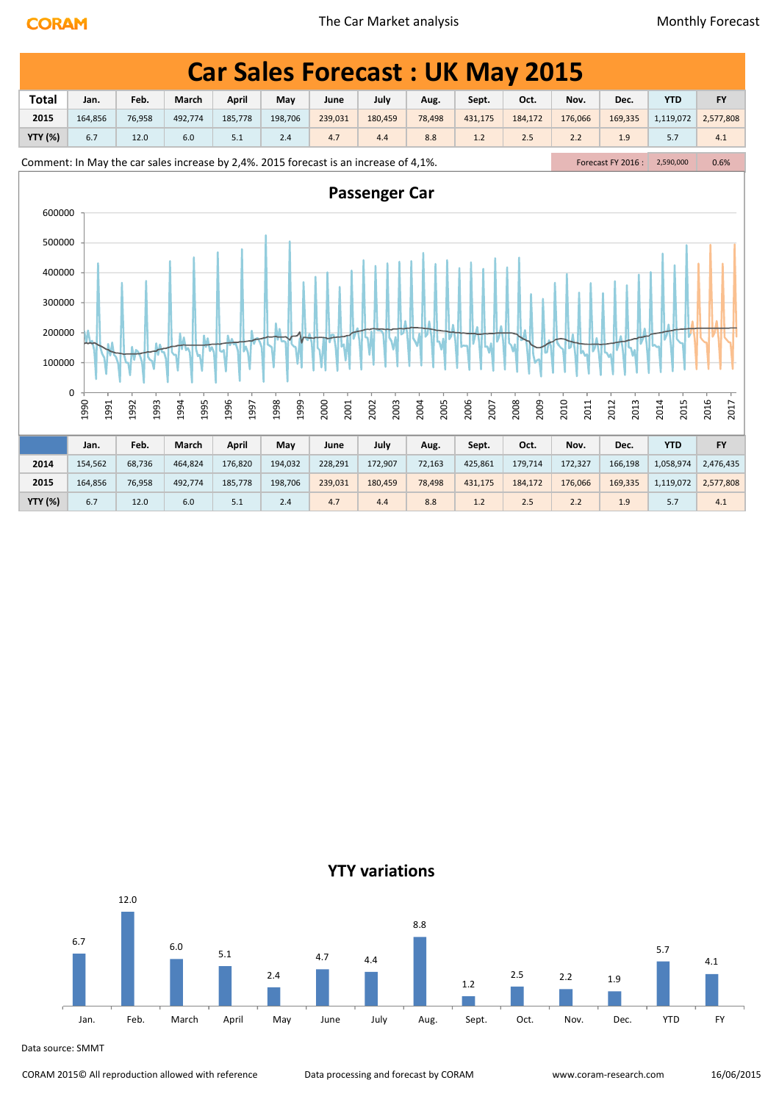|                |                                                                                       |              |              |              |              |              |                      | <b>Car Sales Forecast: UK May 2015</b> |              |              |              |                    |              |              |
|----------------|---------------------------------------------------------------------------------------|--------------|--------------|--------------|--------------|--------------|----------------------|----------------------------------------|--------------|--------------|--------------|--------------------|--------------|--------------|
| <b>Total</b>   | Jan.                                                                                  | Feb.         | March        | <b>April</b> | May          | June         | July                 | Aug.                                   | Sept.        | Oct.         | Nov.         | Dec.               | <b>YTD</b>   | <b>FY</b>    |
| 2015           | 164,856                                                                               | 76,958       | 492,774      | 185,778      | 198,706      | 239,031      | 180,459              | 78,498                                 | 431,175      | 184,172      | 176,066      | 169,335            | 1,119,072    | 2,577,808    |
| <b>YTY (%)</b> | 6.7                                                                                   | 12.0         | 6.0          | 5.1          | 2.4          | 4.7          | 4.4                  | 8.8                                    | $1.2$        | 2.5          | 2.2          | 1.9                | 5.7          | 4.1          |
|                | Comment: In May the car sales increase by 2,4%. 2015 forecast is an increase of 4,1%. |              |              |              |              |              |                      |                                        |              |              |              | Forecast FY 2016 : | 2,590,000    | 0.6%         |
| 600000         |                                                                                       |              |              |              |              |              | <b>Passenger Car</b> |                                        |              |              |              |                    |              |              |
|                |                                                                                       |              |              |              |              |              |                      |                                        |              |              |              |                    |              |              |
| 500000         |                                                                                       |              |              |              |              |              |                      |                                        |              |              |              |                    |              |              |
| 400000         |                                                                                       |              |              |              |              |              |                      |                                        |              |              |              |                    |              |              |
| 300000         |                                                                                       |              |              |              |              |              |                      |                                        |              |              |              |                    |              |              |
| 200000         |                                                                                       |              |              |              |              |              |                      |                                        |              |              |              |                    |              |              |
| 100000         |                                                                                       |              |              |              |              |              |                      |                                        |              |              |              |                    |              |              |
|                | 0<br>1990<br>1991                                                                     | 1992<br>1993 | 1994<br>1995 | 1996<br>1997 | 1999<br>1998 | 2000<br>2001 | 2003<br>2002         | 2005<br>2004                           | 2006<br>2007 | 2009<br>2008 | 2010<br>2011 | 2012<br>2013       | 2014<br>2015 | 2016<br>2017 |
|                |                                                                                       |              |              |              |              |              |                      |                                        |              |              |              |                    |              |              |
|                | Jan.                                                                                  | Feb.         | March        | April        | May          | June         | July                 | Aug.                                   | Sept.        | Oct.         | Nov.         | Dec.               | <b>YTD</b>   | <b>FY</b>    |
| 2014           | 154,562                                                                               | 68,736       | 464,824      | 176,820      | 194,032      | 228,291      | 172,907              | 72,163                                 | 425,861      | 179,714      | 172,327      | 166,198            | 1,058,974    | 2,476,435    |
| 2015           | 164,856                                                                               | 76,958       | 492,774      | 185,778      | 198,706      | 239,031      | 180,459              | 78,498                                 | 431,175      | 184,172      | 176,066      | 169,335            | 1,119,072    | 2,577,808    |

**YTY (%)** 6.7 12.0 6.0 5.1 2.4 4.7 4.4 8.8 1.2 2.5 2.2 1.9 5.7 4.1



Data source: SMMT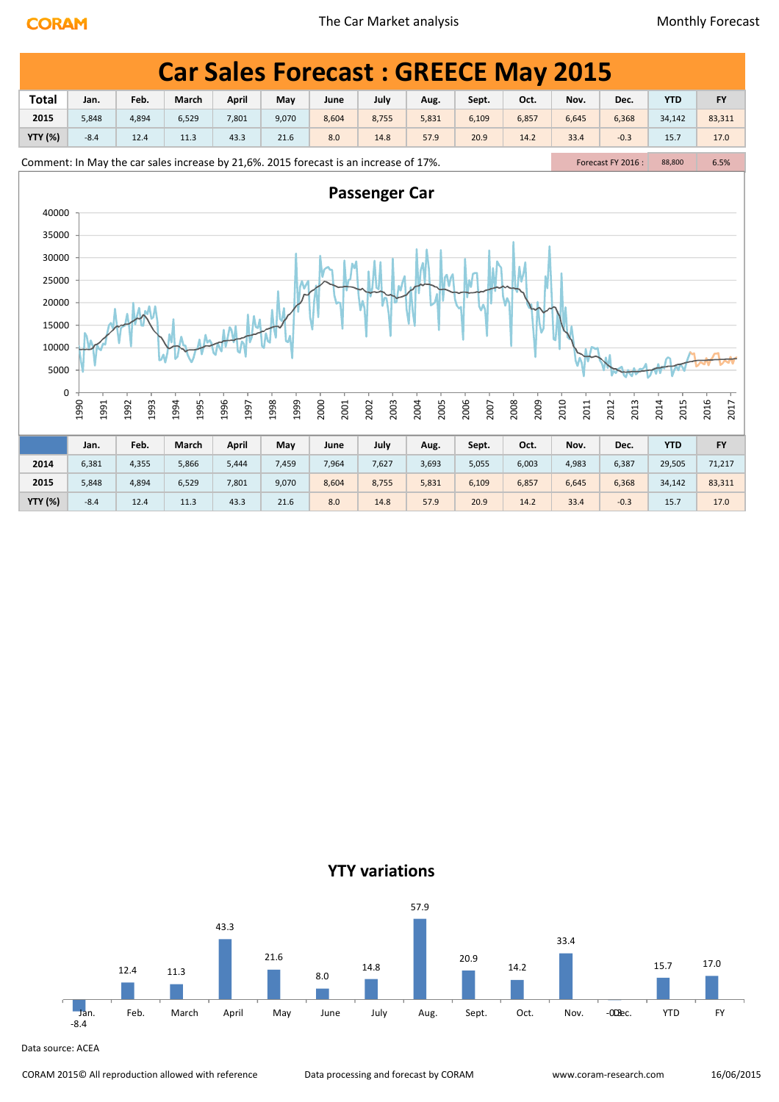|                                                                                       |              |              |              |              |              |              |                      |              |              | <b>Car Sales Forecast: GREECE May 2015</b> |              |                   |              |              |  |
|---------------------------------------------------------------------------------------|--------------|--------------|--------------|--------------|--------------|--------------|----------------------|--------------|--------------|--------------------------------------------|--------------|-------------------|--------------|--------------|--|
| <b>Total</b>                                                                          | Jan.         | Feb.         | March        | <b>April</b> | May          | June         | July                 | Aug.         | Sept.        | Oct.                                       | Nov.         | Dec.              | <b>YTD</b>   | <b>FY</b>    |  |
| 2015                                                                                  | 5,848        | 4,894        | 6,529        | 7,801        | 9,070        | 8,604        | 8,755                | 5,831        | 6,109        | 6,857                                      | 6,645        | 6,368             | 34,142       | 83,311       |  |
| <b>YTY (%)</b>                                                                        | $-8.4$       | 12.4         | 11.3         | 43.3         | 21.6         | 8.0          | 14.8                 | 57.9         | 20.9         | 14.2                                       | 33.4         | $-0.3$            | 15.7         | 17.0         |  |
| Comment: In May the car sales increase by 21,6%. 2015 forecast is an increase of 17%. |              |              |              |              |              |              |                      |              |              |                                            |              | Forecast FY 2016: | 88,800       | 6.5%         |  |
| 40000                                                                                 |              |              |              |              |              |              | <b>Passenger Car</b> |              |              |                                            |              |                   |              |              |  |
| 35000                                                                                 |              |              |              |              |              |              |                      |              |              |                                            |              |                   |              |              |  |
| 30000                                                                                 |              |              |              |              |              |              |                      |              |              |                                            |              |                   |              |              |  |
| 25000                                                                                 |              |              |              |              |              |              |                      |              |              |                                            |              |                   |              |              |  |
| 20000                                                                                 |              |              |              |              |              |              |                      |              |              |                                            |              |                   |              |              |  |
| 15000                                                                                 |              |              |              |              |              |              |                      |              |              |                                            |              |                   |              |              |  |
| 10000                                                                                 |              |              |              |              |              |              |                      |              |              |                                            |              |                   |              |              |  |
| 5000                                                                                  |              |              |              |              |              |              |                      |              |              |                                            |              |                   |              |              |  |
| $\pmb{0}$                                                                             |              |              |              |              |              |              |                      |              |              |                                            |              |                   |              |              |  |
|                                                                                       | 1990<br>1991 | 1992<br>1993 | 1994<br>1995 | 1996<br>1997 | 1999<br>1998 | 2000<br>2001 | 2003<br>2002         | 2004<br>2005 | 2006<br>2007 | 2008<br>2009                               | 2010<br>2011 | 2012<br>2013      | 2014<br>2015 | 2016<br>2017 |  |
|                                                                                       | Jan.         | Feb.         | March        | April        | May          | June         | July                 | Aug.         | Sept.        | Oct.                                       | Nov.         | Dec.              | <b>YTD</b>   | <b>FY</b>    |  |
| 2014                                                                                  | 6,381        | 4,355        | 5,866        | 5,444        | 7,459        | 7,964        | 7,627                | 3,693        | 5,055        | 6,003                                      | 4,983        | 6,387             | 29,505       | 71,217       |  |
| 2015                                                                                  | 5,848        | 4,894        | 6,529        | 7,801        | 9,070        | 8,604        | 8,755                | 5,831        | 6,109        | 6,857                                      | 6,645        | 6,368             | 34,142       | 83,311       |  |
| <b>YTY (%)</b>                                                                        | $-8.4$       | 12.4         | 11.3         | 43.3         | 21.6         | 8.0          | 14.8                 | 57.9         | 20.9         | 14.2                                       | 33.4         | $-0.3$            | 15.7         | 17.0         |  |

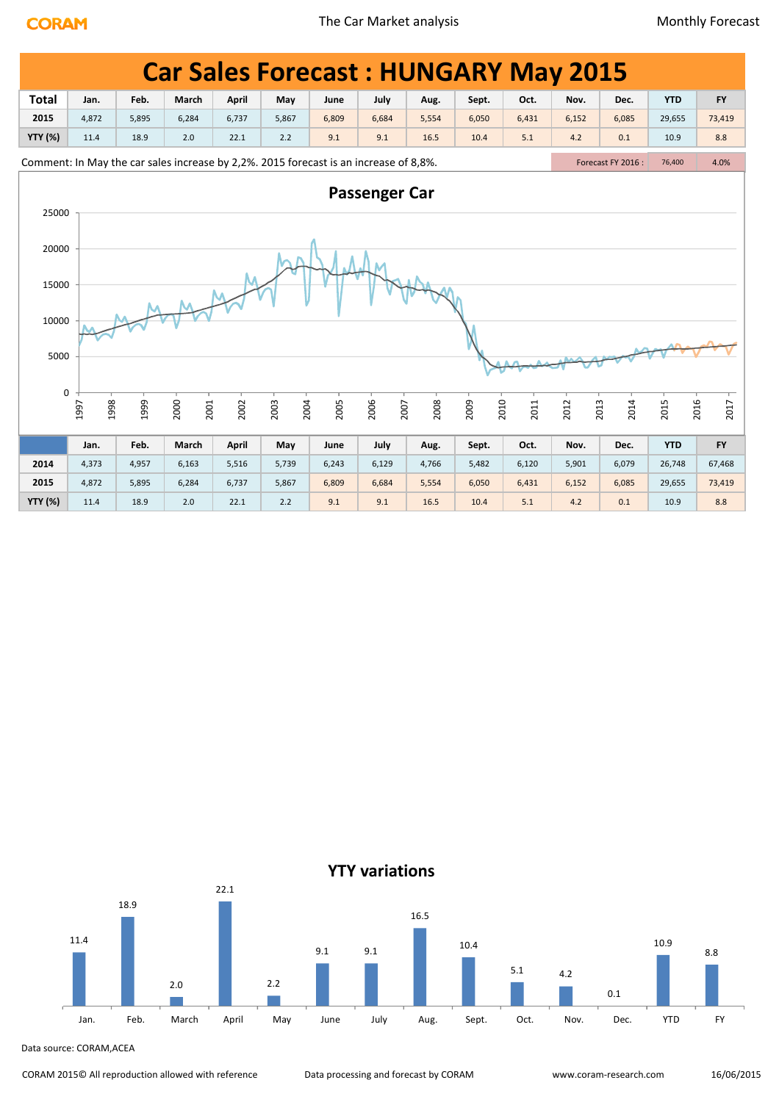|                |              |       | <b>Car Sales Forecast: HUNGARY May 2015</b>                                           |       |              |       |                      |       |              |       |       |                    |              |           |
|----------------|--------------|-------|---------------------------------------------------------------------------------------|-------|--------------|-------|----------------------|-------|--------------|-------|-------|--------------------|--------------|-----------|
| <b>Total</b>   | Jan.         | Feb.  | March                                                                                 | April | May          | June  | July                 | Aug.  | Sept.        | Oct.  | Nov.  | Dec.               | <b>YTD</b>   | <b>FY</b> |
| 2015           | 4,872        | 5,895 | 6,284                                                                                 | 6,737 | 5,867        | 6,809 | 6,684                | 5,554 | 6,050        | 6,431 | 6,152 | 6,085              | 29,655       | 73,419    |
| <b>YTY (%)</b> | 11.4         | 18.9  | 2.0                                                                                   | 22.1  | 2.2          | 9.1   | 9.1                  | 16.5  | 10.4         | 5.1   | 4.2   | 0.1                | 10.9         | 8.8       |
|                |              |       | Comment: In May the car sales increase by 2,2%. 2015 forecast is an increase of 8,8%. |       |              |       |                      |       |              |       |       | Forecast FY 2016 : | 76,400       | 4.0%      |
|                |              |       |                                                                                       |       |              |       | <b>Passenger Car</b> |       |              |       |       |                    |              |           |
| 25000          |              |       |                                                                                       |       |              |       |                      |       |              |       |       |                    |              |           |
| 20000          |              |       |                                                                                       |       |              |       |                      |       |              |       |       |                    |              |           |
| 15000          |              |       |                                                                                       |       |              |       |                      |       |              |       |       |                    |              |           |
| 10000          |              |       |                                                                                       |       |              |       |                      |       |              |       |       |                    |              |           |
| 5000           |              |       |                                                                                       |       |              |       |                      |       |              |       |       |                    |              |           |
| 0              | 1998<br>1997 | 1999  | 2000<br>2001                                                                          | 2002  | 2004<br>2003 | 2005  | 2006<br>2007         | 2008  | 2010<br>2009 | 2011  | 2012  | 2013<br>2014       | 2016<br>2015 | 2017      |
|                | Jan.         | Feb.  | March                                                                                 | April | May          | June  | July                 | Aug.  | Sept.        | Oct.  | Nov.  | Dec.               | <b>YTD</b>   | <b>FY</b> |
| 2014           | 4,373        | 4,957 | 6,163                                                                                 | 5,516 | 5,739        | 6,243 | 6,129                | 4,766 | 5,482        | 6,120 | 5,901 | 6,079              | 26,748       | 67,468    |
| 2015           | 4,872        | 5,895 | 6,284                                                                                 | 6,737 | 5,867        | 6,809 | 6,684                | 5,554 | 6,050        | 6,431 | 6,152 | 6,085              | 29,655       | 73,419    |
| <b>YTY (%)</b> | 11.4         | 18.9  | 2.0                                                                                   | 22.1  | 2.2          | 9.1   | 9.1                  | 16.5  | 10.4         | 5.1   | 4.2   | 0.1                | 10.9         | 8.8       |

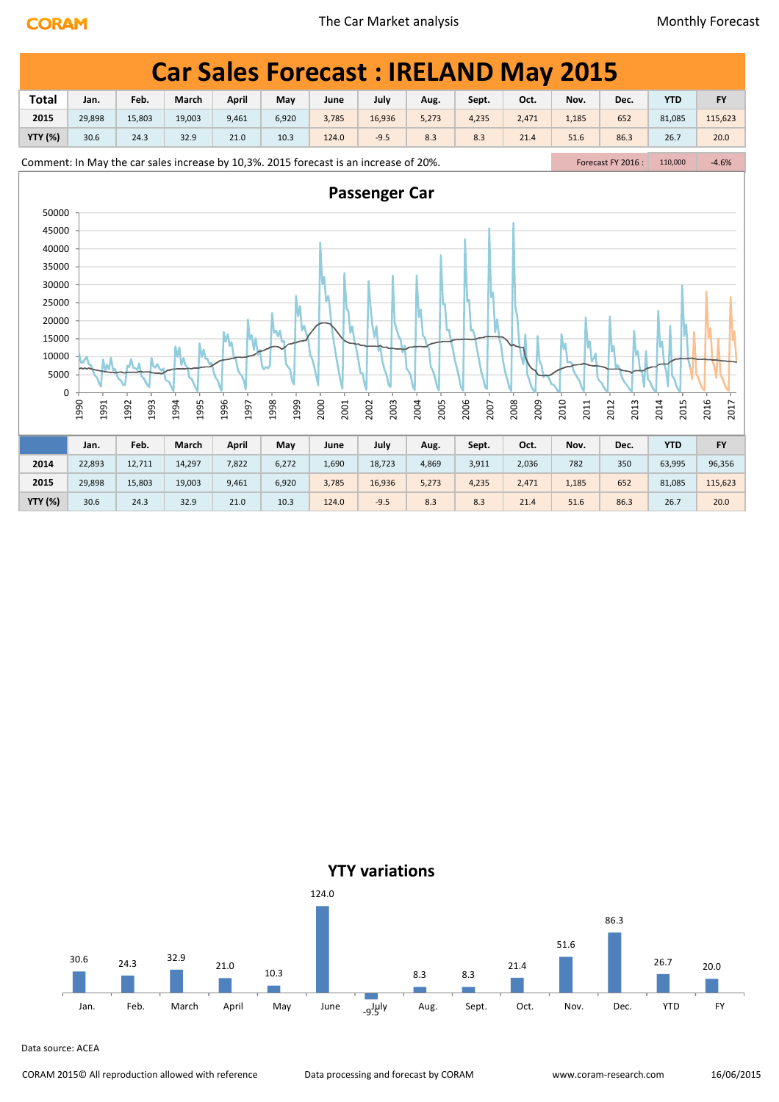|                |              |              |              |                                                                                       |              |              |                      |              |              | <b>Car Sales Forecast: IRELAND May 2015</b> |              |                   |              |              |
|----------------|--------------|--------------|--------------|---------------------------------------------------------------------------------------|--------------|--------------|----------------------|--------------|--------------|---------------------------------------------|--------------|-------------------|--------------|--------------|
| <b>Total</b>   | Jan.         | Feb.         | March        | April                                                                                 | May          | June         | July                 | Aug.         | Sept.        | Oct.                                        | Nov.         | Dec.              | <b>YTD</b>   | <b>FY</b>    |
| 2015           | 29,898       | 15,803       | 19,003       | 9,461                                                                                 | 6,920        | 3,785        | 16,936               | 5,273        | 4,235        | 2,471                                       | 1,185        | 652               | 81,085       | 115,623      |
| <b>YTY (%)</b> | 30.6         | 24.3         | 32.9         | 21.0                                                                                  | 10.3         | 124.0        | $-9.5$               | 8.3          | 8.3          | 21.4                                        | 51.6         | 86.3              | 26.7         | 20.0         |
|                |              |              |              | Comment: In May the car sales increase by 10,3%. 2015 forecast is an increase of 20%. |              |              |                      |              |              |                                             |              | Forecast FY 2016: | 110,000      | $-4.6%$      |
|                |              |              |              |                                                                                       |              |              | <b>Passenger Car</b> |              |              |                                             |              |                   |              |              |
| 50000          |              |              |              |                                                                                       |              |              |                      |              |              |                                             |              |                   |              |              |
| 45000          |              |              |              |                                                                                       |              |              |                      |              |              |                                             |              |                   |              |              |
| 40000          |              |              |              |                                                                                       |              |              |                      |              |              |                                             |              |                   |              |              |
| 35000          |              |              |              |                                                                                       |              |              |                      |              |              |                                             |              |                   |              |              |
| 30000          |              |              |              |                                                                                       |              |              |                      |              |              |                                             |              |                   |              |              |
| 25000          |              |              |              |                                                                                       |              |              |                      |              |              |                                             |              |                   |              |              |
| 20000          |              |              |              |                                                                                       |              |              |                      |              |              |                                             |              |                   |              |              |
| 15000          |              |              |              |                                                                                       |              |              |                      |              |              |                                             |              |                   |              |              |
| 10000          |              |              |              |                                                                                       |              |              |                      |              |              |                                             |              |                   |              |              |
| 5000           |              |              |              |                                                                                       |              |              |                      |              |              |                                             |              |                   |              |              |
| 0              |              |              |              |                                                                                       |              |              |                      |              |              |                                             |              |                   |              |              |
|                | 1990<br>1991 | 1993<br>1992 | 1994<br>1995 | 1996<br>1997                                                                          | 1999<br>1998 | 2000<br>2001 | 2002<br>2003         | 2004<br>2005 | 2006<br>2007 | 2008<br>2009                                | 2010<br>2011 | 2012<br>2013      | 2014<br>2015 | 2016<br>2017 |
|                | Jan.         | Feb.         | March        | Anril                                                                                 | May          | June         | July                 | Aug.         | Sept.        | Oct.                                        | Nov.         | Dec.              | <b>YTD</b>   | <b>FY</b>    |

|                | Jan.   | Feb.   | March  | April | May   | June  | July   | Aug.  | Sept. | Oct.  | Nov.  | Dec. | <b>YTD</b> | <b>FY</b> |
|----------------|--------|--------|--------|-------|-------|-------|--------|-------|-------|-------|-------|------|------------|-----------|
| 2014           | 22,893 | 12,711 | 14,297 | 7,822 | 6,272 | 1,690 | 18,723 | 4,869 | 3,911 | 2,036 | 782   | 350  | 63,995     | 96,356    |
| 2015           | 29,898 | 15,803 | 19,003 | 9,461 | 6,920 | 3,785 | 16,936 | 5,273 | 4,235 | 2,471 | 1,185 | 652  | 81,085     | 115,623   |
| <b>YTY (%)</b> | 30.6   | 24.3   | 32.9   | 21.0  | 10.3  | 124.0 | $-9.5$ | 8.3   | 8.3   | 21.4  | 51.6  | 86.3 | 26.7       | 20.0      |

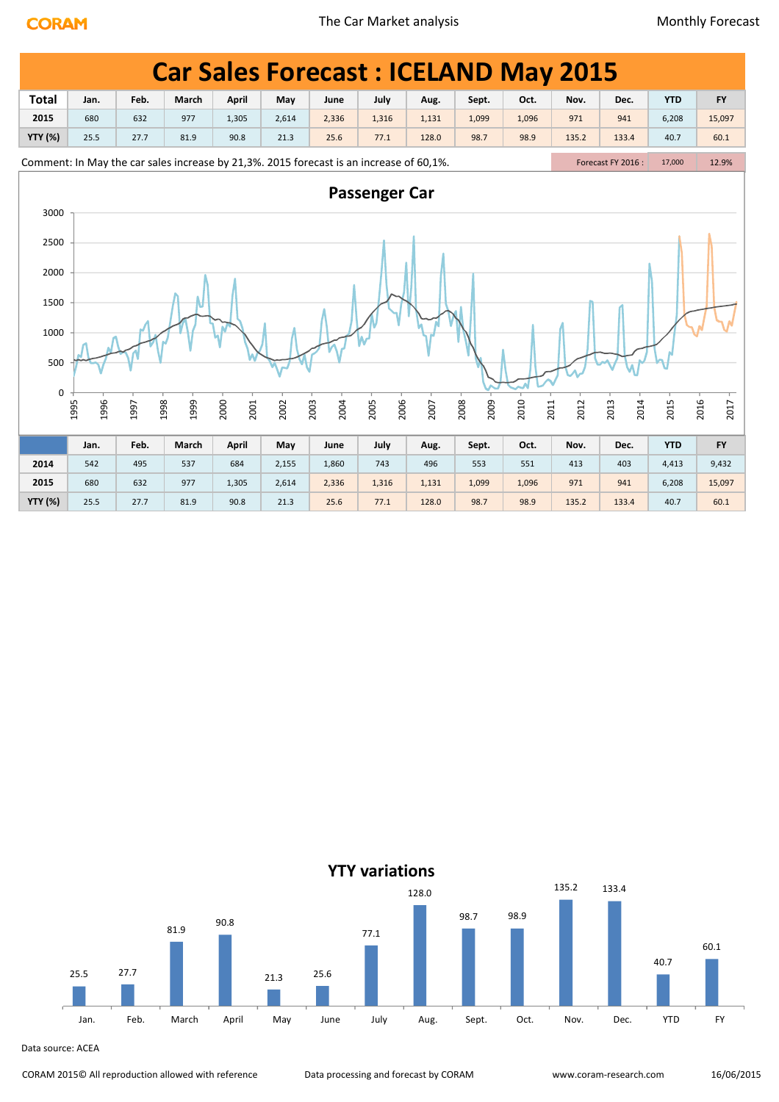|                |              |              |       | <b>Car Sales Forecast: ICELAND May 2015</b>                                             |       |              |                      |       |              |       |              |                   |            |              |  |
|----------------|--------------|--------------|-------|-----------------------------------------------------------------------------------------|-------|--------------|----------------------|-------|--------------|-------|--------------|-------------------|------------|--------------|--|
| <b>Total</b>   | Jan.         | Feb.         | March | <b>April</b>                                                                            | May   | June         | July                 | Aug.  | Sept.        | Oct.  | Nov.         | Dec.              | <b>YTD</b> | <b>FY</b>    |  |
| 2015           | 680          | 632          | 977   | 1,305                                                                                   | 2,614 | 2,336        | 1,316                | 1,131 | 1,099        | 1,096 | 971          | 941               | 6,208      | 15,097       |  |
| <b>YTY (%)</b> | 25.5         | 27.7         | 81.9  | 90.8                                                                                    | 21.3  | 25.6         | 77.1                 | 128.0 | 98.7         | 98.9  | 135.2        | 133.4             | 40.7       | 60.1         |  |
|                |              |              |       | Comment: In May the car sales increase by 21,3%. 2015 forecast is an increase of 60,1%. |       |              |                      |       |              |       |              | Forecast FY 2016: | 17,000     | 12.9%        |  |
| 3000           |              |              |       |                                                                                         |       |              | <b>Passenger Car</b> |       |              |       |              |                   |            |              |  |
| 2500           |              |              |       |                                                                                         |       |              |                      |       |              |       |              |                   |            |              |  |
| 2000           |              |              |       |                                                                                         |       |              |                      |       |              |       |              |                   |            |              |  |
| 1500           |              |              |       |                                                                                         |       |              |                      |       |              |       |              |                   |            |              |  |
| 1000           |              |              |       |                                                                                         |       |              |                      |       |              |       |              |                   |            |              |  |
| 500            |              |              |       |                                                                                         |       |              |                      |       |              |       |              |                   |            |              |  |
| 0              |              |              |       |                                                                                         |       |              |                      |       |              |       |              |                   |            |              |  |
|                | 1995<br>1996 | 1998<br>1997 | 1999  | 2000<br>2001                                                                            | 2002  | 2004<br>2003 | 2006<br>2005         | 2007  | 2008<br>2009 | 2010  | 2012<br>2011 | 2014<br>2013      | 2015       | 2016<br>2017 |  |
|                | Jan.         | Feb.         | March | April                                                                                   | May   | June         | July                 | Aug.  | Sept.        | Oct.  | Nov.         | Dec.              | <b>YTD</b> | <b>FY</b>    |  |
| 2014           | 542          | 495          | 537   | 684                                                                                     | 2,155 | 1,860        | 743                  | 496   | 553          | 551   | 413          | 403               | 4,413      | 9,432        |  |
| 2015           | 680          | 632          | 977   | 1,305                                                                                   | 2,614 | 2,336        | 1,316                | 1,131 | 1,099        | 1,096 | 971          | 941               | 6,208      | 15,097       |  |
| <b>YTY (%)</b> | 25.5         | 27.7         | 81.9  | 90.8                                                                                    | 21.3  | 25.6         | 77.1                 | 128.0 | 98.7         | 98.9  | 135.2        | 133.4             | 40.7       | 60.1         |  |

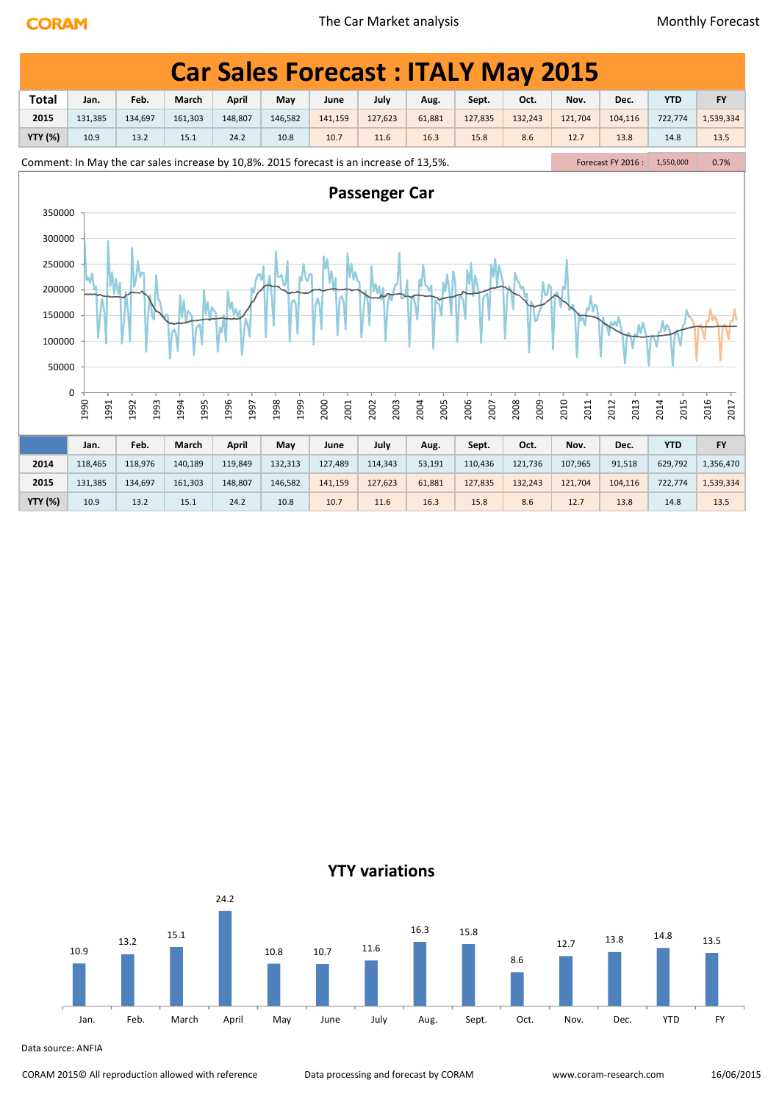|                | <b>Car Sales Forecast: ITALY May 2015</b>                                               |              |              |              |              |              |                      |              |              |              |              |                    |              |              |
|----------------|-----------------------------------------------------------------------------------------|--------------|--------------|--------------|--------------|--------------|----------------------|--------------|--------------|--------------|--------------|--------------------|--------------|--------------|
| <b>Total</b>   | Jan.                                                                                    | Feb.         | March        | April        | May          | June         | July                 | Aug.         | Sept.        | Oct.         | Nov.         | Dec.               | <b>YTD</b>   | <b>FY</b>    |
| 2015           | 131,385                                                                                 | 134,697      | 161,303      | 148,807      | 146,582      | 141,159      | 127,623              | 61,881       | 127,835      | 132,243      | 121,704      | 104,116            | 722,774      | 1,539,334    |
| <b>YTY (%)</b> | 10.9                                                                                    | 13.2         | 15.1         | 24.2         | 10.8         | 10.7         | 11.6                 | 16.3         | 15.8         | 8.6          | 12.7         | 13.8               | 14.8         | 13.5         |
|                | Comment: In May the car sales increase by 10,8%. 2015 forecast is an increase of 13,5%. |              |              |              |              |              |                      |              |              |              |              | Forecast FY 2016 : | 1,550,000    | 0.7%         |
| 350000         |                                                                                         |              |              |              |              |              | <b>Passenger Car</b> |              |              |              |              |                    |              |              |
|                | 300000                                                                                  |              |              |              |              |              |                      |              |              |              |              |                    |              |              |
|                | 250000                                                                                  |              |              |              |              |              |                      |              |              |              |              |                    |              |              |
| 200000         |                                                                                         |              |              |              |              |              |                      |              |              |              |              |                    |              |              |
| 150000         |                                                                                         |              |              |              |              |              |                      |              |              |              |              |                    |              |              |
|                |                                                                                         |              |              |              |              |              |                      |              |              |              |              |                    |              |              |
| 100000         |                                                                                         |              |              |              |              |              |                      |              |              |              |              |                    |              |              |
| 50000          |                                                                                         |              |              |              |              |              |                      |              |              |              |              |                    |              |              |
|                | 0                                                                                       |              |              |              |              |              |                      |              |              |              |              |                    |              |              |
|                | 1990<br>1991                                                                            | 1992<br>1993 | 1994<br>1995 | 1996<br>1997 | 1998<br>1999 | 2000<br>2001 | 2003<br>2002         | 2005<br>2004 | 2006<br>2007 | 2009<br>2008 | 2010<br>2011 | 2012<br>2013       | 2014<br>2015 | 2016<br>2017 |
|                | Jan.                                                                                    | Feb.         | March        | April        | May          | June         | July                 | Aug.         | Sept.        | Oct.         | Nov.         | Dec.               | <b>YTD</b>   | <b>FY</b>    |
| 2014           | 118,465                                                                                 | 118,976      | 140,189      | 119,849      | 132,313      | 127,489      | 114,343              | 53,191       | 110,436      | 121,736      | 107,965      | 91,518             | 629,792      | 1,356,470    |
| 2015           | 131,385                                                                                 | 134,697      | 161,303      | 148,807      | 146,582      | 141,159      | 127,623              | 61,881       | 127,835      | 132,243      | 121,704      | 104,116            | 722,774      | 1,539,334    |
| <b>YTY (%)</b> | 10.9                                                                                    | 13.2         | 15.1         | 24.2         | 10.8         | 10.7         | 11.6                 | 16.3         | 15.8         | 8.6          | 12.7         | 13.8               | 14.8         | 13.5         |



Data source: ANFIA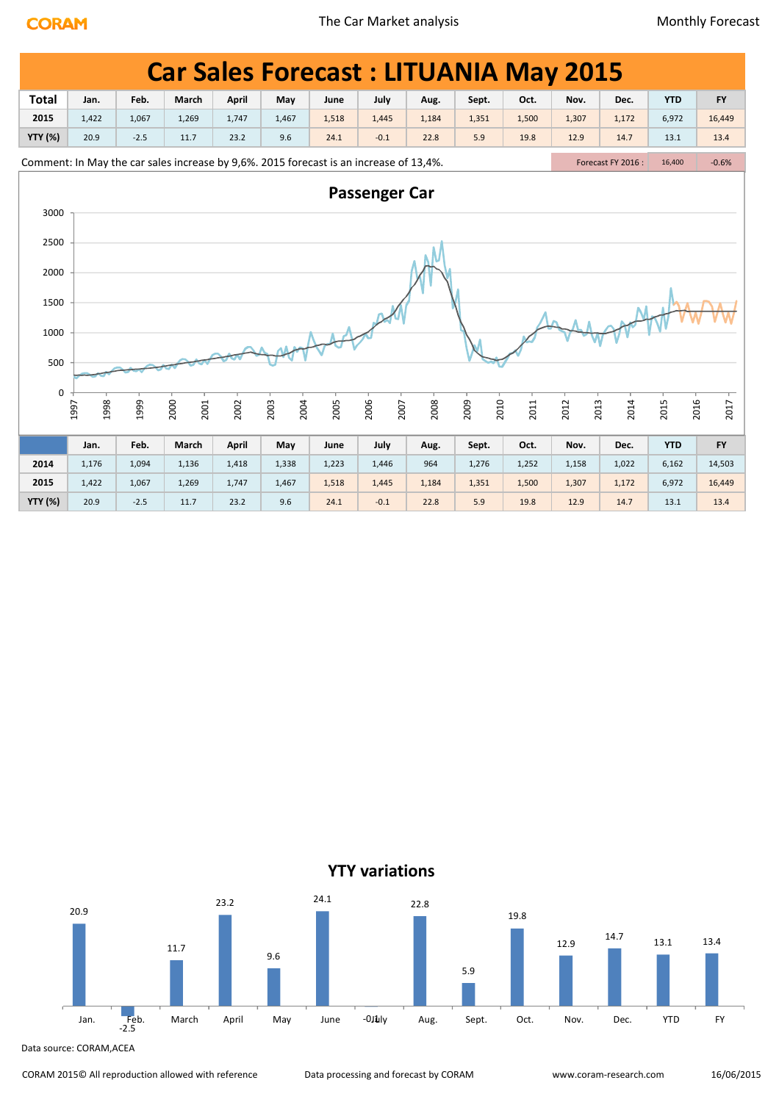|                |              |        | <b>Car Sales Forecast: LITUANIA May 2015</b>                                           |       |              |       |                      |       |              |       |              |                   |              |           |
|----------------|--------------|--------|----------------------------------------------------------------------------------------|-------|--------------|-------|----------------------|-------|--------------|-------|--------------|-------------------|--------------|-----------|
| <b>Total</b>   | Jan.         | Feb.   | March                                                                                  | April | May          | June  | July                 | Aug.  | Sept.        | Oct.  | Nov.         | Dec.              | <b>YTD</b>   | <b>FY</b> |
| 2015           | 1,422        | 1,067  | 1,269                                                                                  | 1,747 | 1,467        | 1,518 | 1,445                | 1,184 | 1,351        | 1,500 | 1,307        | 1,172             | 6,972        | 16,449    |
| <b>YTY (%)</b> | 20.9         | $-2.5$ | 11.7                                                                                   | 23.2  | 9.6          | 24.1  | $-0.1$               | 22.8  | 5.9          | 19.8  | 12.9         | 14.7              | 13.1         | 13.4      |
|                |              |        | Comment: In May the car sales increase by 9,6%. 2015 forecast is an increase of 13,4%. |       |              |       |                      |       |              |       |              | Forecast FY 2016: | 16,400       | $-0.6%$   |
| 3000           |              |        |                                                                                        |       |              |       | <b>Passenger Car</b> |       |              |       |              |                   |              |           |
| 2500           |              |        |                                                                                        |       |              |       |                      |       |              |       |              |                   |              |           |
| 2000           |              |        |                                                                                        |       |              |       |                      |       |              |       |              |                   |              |           |
| 1500           |              |        |                                                                                        |       |              |       |                      |       |              |       |              |                   |              |           |
| 1000           |              |        |                                                                                        |       |              |       |                      |       |              |       |              |                   |              |           |
| 500            |              |        |                                                                                        |       |              |       |                      |       |              |       |              |                   |              |           |
| $\mathbf 0$    | 1998<br>1997 | 1999   | 2000<br>2001                                                                           | 2002  | 2003<br>2004 | 2005  | 2006<br>2007         | 2008  | 2010<br>2009 | 2011  | 2013<br>2012 | 2014              | 2016<br>2015 | 2017      |
|                |              |        |                                                                                        |       |              |       |                      |       |              |       |              |                   |              |           |
|                | Jan.         | Feb.   | March                                                                                  | April | May          | June  | July                 | Aug.  | Sept.        | Oct.  | Nov.         | Dec.              | <b>YTD</b>   | <b>FY</b> |
| 2014           | 1,176        | 1,094  | 1,136                                                                                  | 1,418 | 1,338        | 1,223 | 1,446                | 964   | 1,276        | 1,252 | 1,158        | 1,022             | 6,162        | 14,503    |
| 2015           | 1,422        | 1,067  | 1,269                                                                                  | 1,747 | 1,467        | 1,518 | 1,445                | 1,184 | 1,351        | 1,500 | 1,307        | 1,172             | 6,972        | 16,449    |
| <b>YTY (%)</b> | 20.9         | $-2.5$ | 11.7                                                                                   | 23.2  | 9.6          | 24.1  | $-0.1$               | 22.8  | 5.9          | 19.8  | 12.9         | 14.7              | 13.1         | 13.4      |

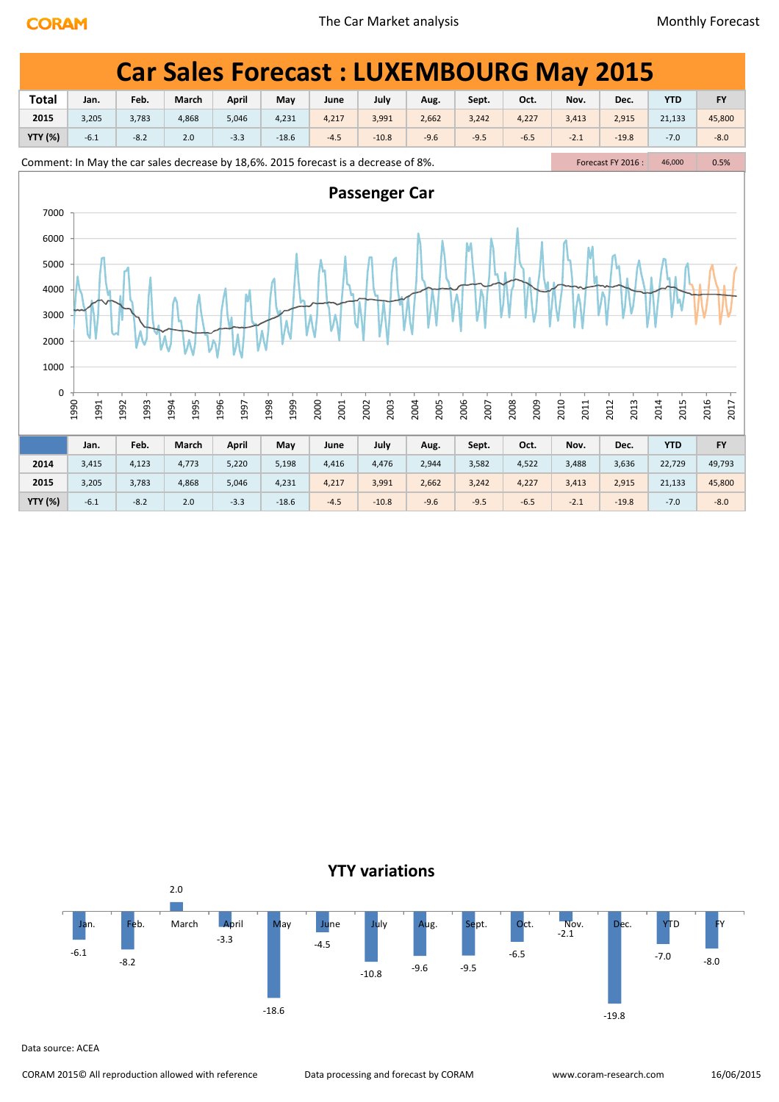|                                                      |                                                                                     |              |              |              |              |              |                      |              |              | <b>Car Sales Forecast: LUXEMBOURG May 2015</b> |              |                    |              |              |
|------------------------------------------------------|-------------------------------------------------------------------------------------|--------------|--------------|--------------|--------------|--------------|----------------------|--------------|--------------|------------------------------------------------|--------------|--------------------|--------------|--------------|
| <b>Total</b>                                         | Jan.                                                                                | Feb.         | March        | <b>April</b> | May          | June         | July                 | Aug.         | Sept.        | Oct.                                           | Nov.         | Dec.               | <b>YTD</b>   | <b>FY</b>    |
| 2015                                                 | 3,205                                                                               | 3,783        | 4,868        | 5,046        | 4,231        | 4,217        | 3,991                | 2,662        | 3,242        | 4,227                                          | 3,413        | 2,915              | 21,133       | 45,800       |
| <b>YTY (%)</b>                                       | $-6.1$                                                                              | $-8.2$       | 2.0          | $-3.3$       | $-18.6$      | $-4.5$       | $-10.8$              | $-9.6$       | $-9.5$       | $-6.5$                                         | $-2.1$       | $-19.8$            | $-7.0$       | $-8.0$       |
|                                                      | Comment: In May the car sales decrease by 18,6%. 2015 forecast is a decrease of 8%. |              |              |              |              |              |                      |              |              |                                                |              | Forecast FY 2016 : | 46,000       | 0.5%         |
| 7000<br>6000<br>5000<br>4000<br>3000<br>2000<br>1000 |                                                                                     |              |              |              |              |              | <b>Passenger Car</b> |              |              |                                                |              |                    |              |              |
| 0                                                    | 1990<br>1991                                                                        | 1992<br>1993 | 1994<br>1995 | 1996<br>1997 | 1998<br>1999 | 2000<br>2001 | 2003<br>2002         | 2004<br>2005 | 2006<br>2007 | 2008<br>2009                                   | 2010<br>2011 | 2013<br>2012       | 2014<br>2015 | 2016<br>2017 |
|                                                      | Jan.                                                                                | Feb.         | March        | <b>April</b> | May          | June         | July                 | Aug.         | Sept.        | Oct.                                           | Nov.         | Dec.               | <b>YTD</b>   | <b>FY</b>    |
| 2014                                                 | 3,415                                                                               | 4,123        | 4,773        | 5,220        | 5,198        | 4,416        | 4,476                | 2,944        | 3,582        | 4,522                                          | 3,488        | 3,636              | 22,729       | 49,793       |
| 2015                                                 | 3,205                                                                               | 3,783        | 4,868        | 5,046        | 4,231        | 4,217        | 3,991                | 2,662        | 3,242        | 4,227                                          | 3,413        | 2,915              | 21,133       | 45,800       |
| <b>YTY (%)</b>                                       | $-6.1$                                                                              | $-8.2$       | 2.0          | $-3.3$       | $-18.6$      | $-4.5$       | $-10.8$              | $-9.6$       | $-9.5$       | $-6.5$                                         | $-2.1$       | $-19.8$            | $-7.0$       | $-8.0$       |

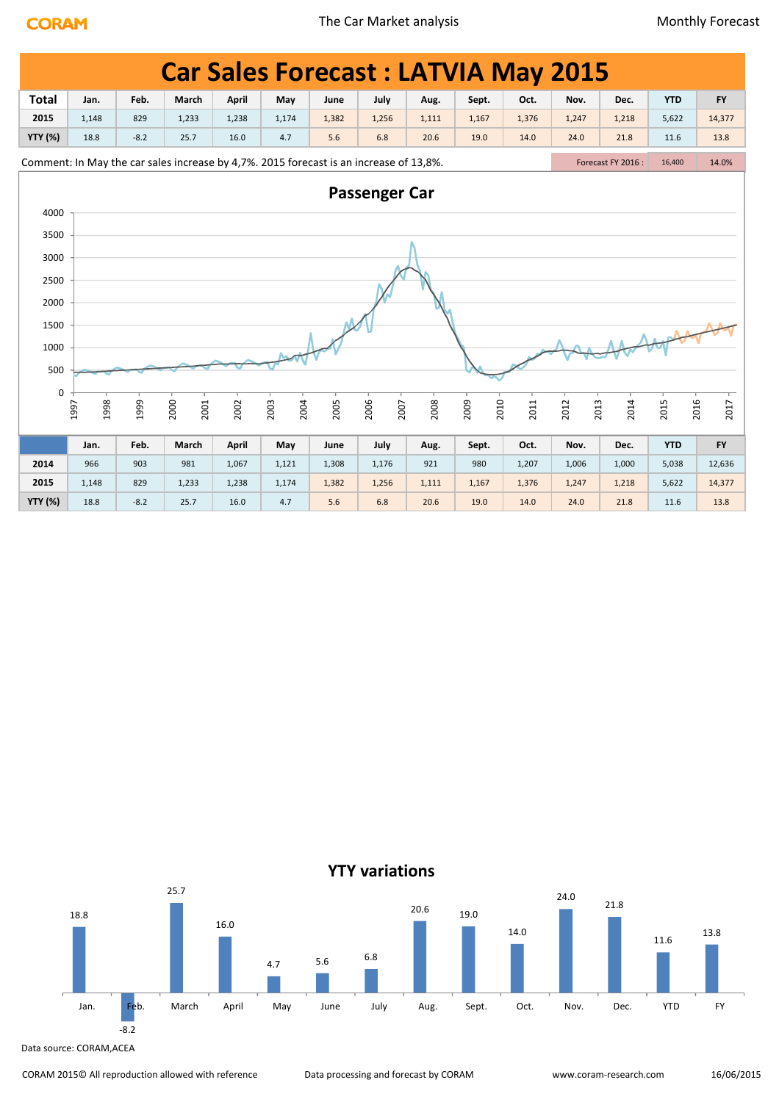|                |              |        | <b>Car Sales Forecast: LATVIA May 2015</b>                                             |              |              |       |                      |       |              |       |              |                    |            |              |  |
|----------------|--------------|--------|----------------------------------------------------------------------------------------|--------------|--------------|-------|----------------------|-------|--------------|-------|--------------|--------------------|------------|--------------|--|
| <b>Total</b>   | Jan.         | Feb.   | March                                                                                  | <b>April</b> | May          | June  | July                 | Aug.  | Sept.        | Oct.  | Nov.         | Dec.               | <b>YTD</b> | <b>FY</b>    |  |
| 2015           | 1,148        | 829    | 1,233                                                                                  | 1,238        | 1,174        | 1,382 | 1,256                | 1,111 | 1,167        | 1,376 | 1,247        | 1,218              | 5,622      | 14,377       |  |
| <b>YTY (%)</b> | 18.8         | $-8.2$ | 25.7                                                                                   | 16.0         | 4.7          | 5.6   | 6.8                  | 20.6  | 19.0         | 14.0  | 24.0         | 21.8               | 11.6       | 13.8         |  |
|                |              |        | Comment: In May the car sales increase by 4,7%. 2015 forecast is an increase of 13,8%. |              |              |       |                      |       |              |       |              | Forecast FY 2016 : | 16,400     | 14.0%        |  |
|                |              |        |                                                                                        |              |              |       | <b>Passenger Car</b> |       |              |       |              |                    |            |              |  |
| 4000           |              |        |                                                                                        |              |              |       |                      |       |              |       |              |                    |            |              |  |
| 3500           |              |        |                                                                                        |              |              |       |                      |       |              |       |              |                    |            |              |  |
| 3000           |              |        |                                                                                        |              |              |       |                      |       |              |       |              |                    |            |              |  |
| 2500           |              |        |                                                                                        |              |              |       |                      |       |              |       |              |                    |            |              |  |
|                |              |        |                                                                                        |              |              |       |                      |       |              |       |              |                    |            |              |  |
| 2000           |              |        |                                                                                        |              |              |       |                      |       |              |       |              |                    |            |              |  |
| 1500           |              |        |                                                                                        |              |              |       |                      |       |              |       |              |                    |            |              |  |
| 1000           |              |        |                                                                                        |              |              |       |                      |       |              |       |              |                    |            |              |  |
| 500            |              |        |                                                                                        |              |              |       |                      |       |              |       |              |                    |            |              |  |
| 0              |              |        |                                                                                        |              |              |       |                      |       |              |       |              |                    |            |              |  |
|                | 1998<br>1997 | 1999   | 2000<br>2001                                                                           | 2002         | 2004<br>2003 | 2005  | 2006<br>2007         | 2008  | 2010<br>2009 | 2011  | 2013<br>2012 | 2014               | 2015       | 2016<br>2017 |  |
|                |              |        |                                                                                        |              |              |       |                      |       |              |       |              |                    |            |              |  |
|                | Jan.         | Feb.   | March                                                                                  | April        | May          | June  | July                 | Aug.  | Sept.        | Oct.  | Nov.         | Dec.               | <b>YTD</b> | <b>FY</b>    |  |
| 2014           | 966          | 903    | 981                                                                                    | 1,067        | 1,121        | 1,308 | 1,176                | 921   | 980          | 1,207 | 1,006        | 1,000              | 5,038      | 12,636       |  |
| 2015           | 1,148        | 829    | 1,233                                                                                  | 1,238        | 1,174        | 1,382 | 1,256                | 1,111 | 1,167        | 1,376 | 1,247        | 1,218              | 5,622      | 14,377       |  |
| <b>YTY (%)</b> | 18.8         | $-8.2$ | 25.7                                                                                   | 16.0         | 4.7          | 5.6   | 6.8                  | 20.6  | 19.0         | 14.0  | 24.0         | 21.8               | 11.6       | 13.8         |  |

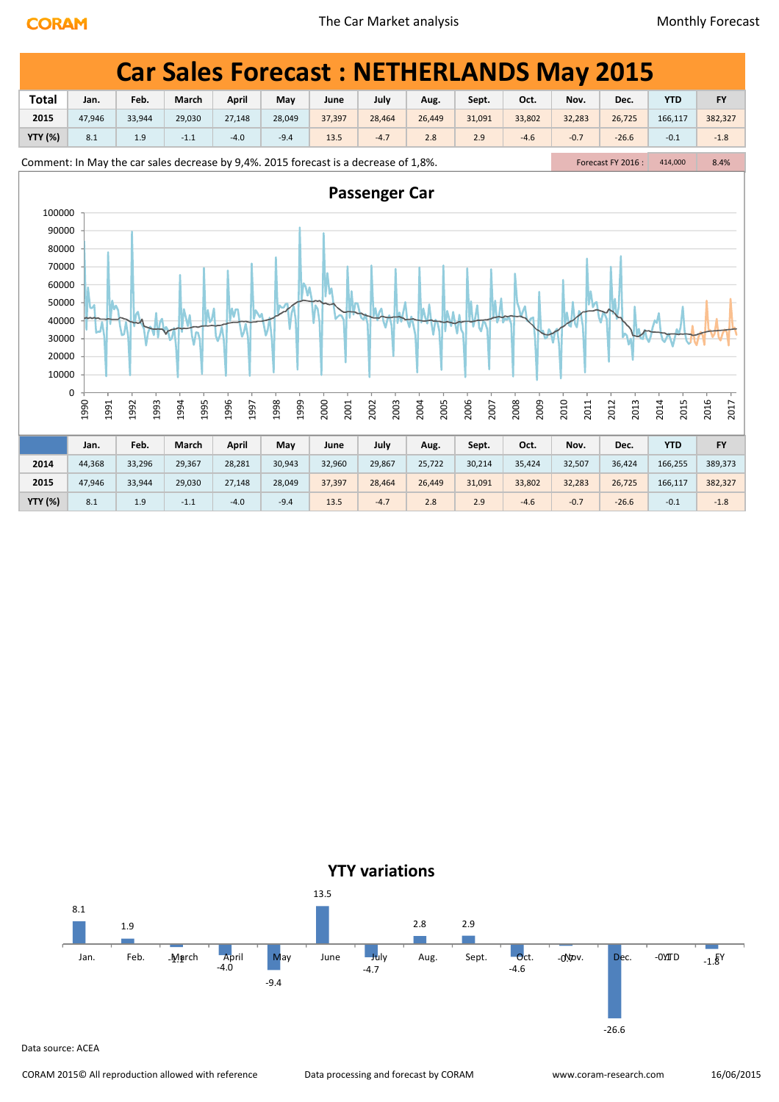|                                                                      |                                                                                      |              |              |              |              |              |               |              |              |              |              | <b>Car Sales Forecast: NETHERLANDS May 2015</b> |              |              |
|----------------------------------------------------------------------|--------------------------------------------------------------------------------------|--------------|--------------|--------------|--------------|--------------|---------------|--------------|--------------|--------------|--------------|-------------------------------------------------|--------------|--------------|
| <b>Total</b>                                                         | Jan.                                                                                 | Feb.         | March        | <b>April</b> | May          | June         | July          | Aug.         | Sept.        | Oct.         | Nov.         | Dec.                                            | <b>YTD</b>   | <b>FY</b>    |
| 2015                                                                 | 47,946                                                                               | 33,944       | 29,030       | 27,148       | 28,049       | 37,397       | 28,464        | 26,449       | 31,091       | 33,802       | 32,283       | 26,725                                          | 166,117      | 382,327      |
| <b>YTY (%)</b>                                                       | 8.1                                                                                  | 1.9          | $-1.1$       | $-4.0$       | $-9.4$       | 13.5         | $-4.7$        | 2.8          | 2.9          | $-4.6$       | $-0.7$       | $-26.6$                                         | $-0.1$       | $-1.8$       |
|                                                                      | Comment: In May the car sales decrease by 9,4%. 2015 forecast is a decrease of 1,8%. |              |              |              |              |              |               |              |              |              |              | Forecast FY 2016 :                              | 414,000      | 8.4%         |
| 100000<br>90000                                                      |                                                                                      |              |              |              |              |              | Passenger Car |              |              |              |              |                                                 |              |              |
| 80000<br>70000<br>60000<br>50000<br>40000<br>30000<br>20000<br>10000 | 0                                                                                    |              |              |              |              |              |               |              |              |              |              |                                                 |              |              |
|                                                                      | 1990<br>1991                                                                         | 1992<br>1993 | 1994<br>1995 | 1996<br>1997 | 1998<br>1999 | 2000<br>2001 | 2003<br>2002  | 2004<br>2005 | 2006<br>2007 | 2009<br>2008 | 2010<br>2011 | 2013<br>2012                                    | 2014<br>2015 | 2016<br>2017 |
|                                                                      | Jan.                                                                                 | Feb.         | March        | <b>April</b> | May          | June         | July          | Aug.         | Sept.        | Oct.         | Nov.         | Dec.                                            | <b>YTD</b>   | <b>FY</b>    |
| 2014                                                                 | 44,368                                                                               | 33,296       | 29,367       | 28,281       | 30,943       | 32,960       | 29,867        | 25,722       | 30,214       | 35,424       | 32,507       | 36,424                                          | 166,255      | 389,373      |
| 2015                                                                 | 47,946                                                                               | 33,944       | 29,030       | 27,148       | 28,049       | 37,397       | 28,464        | 26,449       | 31,091       | 33,802       | 32,283       | 26,725                                          | 166,117      | 382,327      |
| <b>YTY (%)</b>                                                       | 8.1                                                                                  | 1.9          | $-1.1$       | $-4.0$       | $-9.4$       | 13.5         | $-4.7$        | 2.8          | 2.9          | $-4.6$       | $-0.7$       | $-26.6$                                         | $-0.1$       | $-1.8$       |

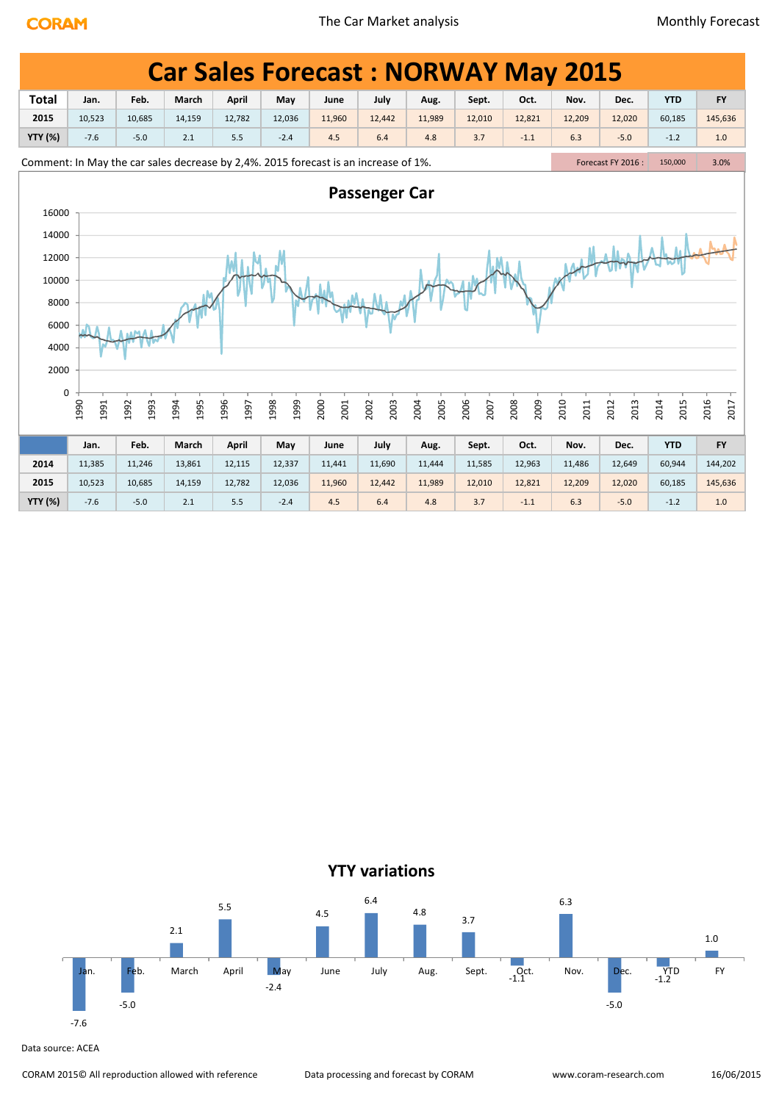|                |                                                                                                                                                                                                                                                                                                                                                                                                    |              |                                                                                     |              |              |              |                      |              |              |              | <b>Car Sales Forecast: NORWAY May 2015</b> |                   |              |              |  |
|----------------|----------------------------------------------------------------------------------------------------------------------------------------------------------------------------------------------------------------------------------------------------------------------------------------------------------------------------------------------------------------------------------------------------|--------------|-------------------------------------------------------------------------------------|--------------|--------------|--------------|----------------------|--------------|--------------|--------------|--------------------------------------------|-------------------|--------------|--------------|--|
| <b>Total</b>   | Feb.<br>March<br>April<br>July<br>Oct.<br><b>YTD</b><br><b>FY</b><br>Jan.<br>May<br>Sept.<br>Nov.<br>June<br>Aug.<br>Dec.<br>2015<br>10,523<br>12,036<br>11,960<br>12,442<br>12,010<br>12,821<br>12,209<br>12,020<br>60,185<br>145,636<br>10,685<br>14,159<br>12,782<br>11,989<br>$-7.6$<br>$-5.0$<br>5.5<br>3.7<br>$-1.1$<br>6.3<br>$-1.2$<br>1.0<br>2.1<br>$-2.4$<br>4.5<br>6.4<br>4.8<br>$-5.0$ |              |                                                                                     |              |              |              |                      |              |              |              |                                            |                   |              |              |  |
|                |                                                                                                                                                                                                                                                                                                                                                                                                    |              |                                                                                     |              |              |              |                      |              |              |              |                                            |                   |              |              |  |
| <b>YTY (%)</b> |                                                                                                                                                                                                                                                                                                                                                                                                    |              |                                                                                     |              |              |              |                      |              |              |              |                                            |                   |              |              |  |
|                |                                                                                                                                                                                                                                                                                                                                                                                                    |              | Comment: In May the car sales decrease by 2,4%. 2015 forecast is an increase of 1%. |              |              |              |                      |              |              |              |                                            | Forecast FY 2016: | 150,000      | 3.0%         |  |
|                |                                                                                                                                                                                                                                                                                                                                                                                                    |              |                                                                                     |              |              |              | <b>Passenger Car</b> |              |              |              |                                            |                   |              |              |  |
| 16000          |                                                                                                                                                                                                                                                                                                                                                                                                    |              |                                                                                     |              |              |              |                      |              |              |              |                                            |                   |              |              |  |
| 14000          |                                                                                                                                                                                                                                                                                                                                                                                                    |              |                                                                                     |              |              |              |                      |              |              |              |                                            |                   |              |              |  |
| 12000          |                                                                                                                                                                                                                                                                                                                                                                                                    |              |                                                                                     |              |              |              |                      |              |              |              |                                            |                   |              |              |  |
| 10000          |                                                                                                                                                                                                                                                                                                                                                                                                    |              |                                                                                     |              |              |              |                      |              |              |              |                                            |                   |              |              |  |
| 8000           |                                                                                                                                                                                                                                                                                                                                                                                                    |              |                                                                                     |              |              |              |                      |              |              |              |                                            |                   |              |              |  |
| 6000           |                                                                                                                                                                                                                                                                                                                                                                                                    |              |                                                                                     |              |              |              |                      |              |              |              |                                            |                   |              |              |  |
|                |                                                                                                                                                                                                                                                                                                                                                                                                    |              |                                                                                     |              |              |              |                      |              |              |              |                                            |                   |              |              |  |
| 4000           |                                                                                                                                                                                                                                                                                                                                                                                                    |              |                                                                                     |              |              |              |                      |              |              |              |                                            |                   |              |              |  |
| 2000           |                                                                                                                                                                                                                                                                                                                                                                                                    |              |                                                                                     |              |              |              |                      |              |              |              |                                            |                   |              |              |  |
| 0              |                                                                                                                                                                                                                                                                                                                                                                                                    |              |                                                                                     |              |              |              |                      |              |              |              |                                            |                   |              |              |  |
|                | 1990<br>1991                                                                                                                                                                                                                                                                                                                                                                                       | 1993<br>1992 | 1995<br>1994                                                                        | 1996<br>1997 | 1999<br>1998 | 2000<br>2001 | 2003<br>2002         | 2005<br>2004 | 2006<br>2007 | 2008<br>2009 | 2010<br>2011                               | 2013<br>2012      | 2014<br>2015 | 2016<br>2017 |  |
|                |                                                                                                                                                                                                                                                                                                                                                                                                    |              |                                                                                     |              |              |              |                      |              |              |              |                                            |                   |              |              |  |
|                | Jan.                                                                                                                                                                                                                                                                                                                                                                                               | Feb.         | March                                                                               | <b>April</b> | May          | June         | July                 | Aug.         | Sept.        | Oct.         | Nov.                                       | Dec.              | <b>YTD</b>   | <b>FY</b>    |  |
| 2014           | 11,385                                                                                                                                                                                                                                                                                                                                                                                             | 11,246       | 13,861                                                                              | 12,115       | 12,337       | 11,441       | 11,690               | 11,444       | 11,585       | 12,963       | 11,486                                     | 12,649            | 60,944       | 144,202      |  |
| 2015           | 10,523                                                                                                                                                                                                                                                                                                                                                                                             | 10,685       | 14,159                                                                              | 12,782       | 12,036       | 11,960       | 12,442               | 11,989       | 12,010       | 12,821       | 12,209                                     | 12,020            | 60,185       | 145,636      |  |

**YTY (%)** -7.6 -5.0 2.1 5.5 -2.4 4.5 6.4 4.8 3.7 -1.1 6.3 -5.0 -1.2 1.0



Data source: ACEA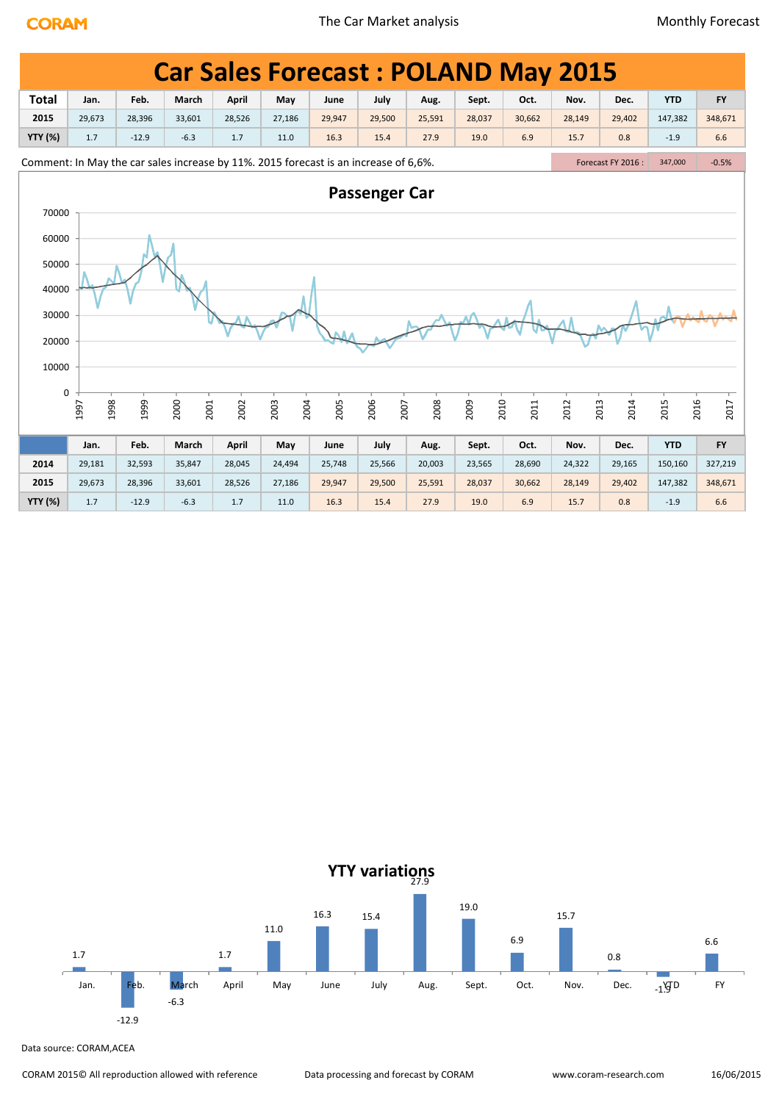|                | <b>Car Sales Forecast: POLAND May 2015</b>                                                                            |         |              |              |              |        |              |        |              |        |              |        |              |           |
|----------------|-----------------------------------------------------------------------------------------------------------------------|---------|--------------|--------------|--------------|--------|--------------|--------|--------------|--------|--------------|--------|--------------|-----------|
| <b>Total</b>   | Jan.                                                                                                                  | Feb.    | March        | <b>April</b> | May          | June   | July         | Aug.   | Sept.        | Oct.   | Nov.         | Dec.   | <b>YTD</b>   | <b>FY</b> |
| 2015           | 29,673                                                                                                                | 28,396  | 33,601       | 28,526       | 27,186       | 29,947 | 29,500       | 25,591 | 28,037       | 30,662 | 28,149       | 29,402 | 147,382      | 348,671   |
| <b>YTY (%)</b> | 1.7                                                                                                                   | $-12.9$ | $-6.3$       | 1.7          | 11.0         | 16.3   | 15.4         | 27.9   | 19.0         | 6.9    | 15.7         | 0.8    | $-1.9$       | 6.6       |
|                | Comment: In May the car sales increase by 11%. 2015 forecast is an increase of 6,6%.<br>Forecast FY 2016 :<br>347,000 |         |              |              |              |        |              |        |              |        |              |        |              | $-0.5%$   |
|                | <b>Passenger Car</b><br>70000                                                                                         |         |              |              |              |        |              |        |              |        |              |        |              |           |
| 60000          |                                                                                                                       |         |              |              |              |        |              |        |              |        |              |        |              |           |
| 50000          |                                                                                                                       |         |              |              |              |        |              |        |              |        |              |        |              |           |
| 40000          |                                                                                                                       |         |              |              |              |        |              |        |              |        |              |        |              |           |
| 30000          |                                                                                                                       |         |              |              |              |        |              |        |              |        |              |        |              |           |
|                |                                                                                                                       |         |              |              |              |        |              |        |              |        |              |        |              |           |
| 20000          |                                                                                                                       |         |              |              |              |        |              |        |              |        |              |        |              |           |
| 10000          |                                                                                                                       |         |              |              |              |        |              |        |              |        |              |        |              |           |
| 0              |                                                                                                                       |         |              |              |              |        |              |        |              |        |              |        |              |           |
|                | 1998<br>1997                                                                                                          | 1999    | 2000<br>2001 | 2002         | 2003<br>2004 | 2005   | 2006<br>2007 | 2008   | 2009<br>2010 | 2011   | 2012<br>2013 | 2014   | 2016<br>2015 | 2017      |
|                | Jan.                                                                                                                  | Feb.    | March        | April        | May          | June   | July         | Aug.   | Sept.        | Oct.   | Nov.         | Dec.   | <b>YTD</b>   | <b>FY</b> |
| 2014           | 29,181                                                                                                                | 32,593  | 35,847       | 28,045       | 24,494       | 25,748 | 25,566       | 20,003 | 23,565       | 28,690 | 24,322       | 29,165 | 150,160      | 327,219   |
| 2015           | 29,673                                                                                                                | 28,396  | 33,601       | 28,526       | 27,186       | 29,947 | 29,500       | 25,591 | 28,037       | 30,662 | 28,149       | 29,402 | 147,382      | 348,671   |
| <b>YTY (%)</b> | 1.7                                                                                                                   | $-12.9$ | $-6.3$       | 1.7          | 11.0         | 16.3   | 15.4         | 27.9   | 19.0         | 6.9    | 15.7         | 0.8    | $-1.9$       | 6.6       |

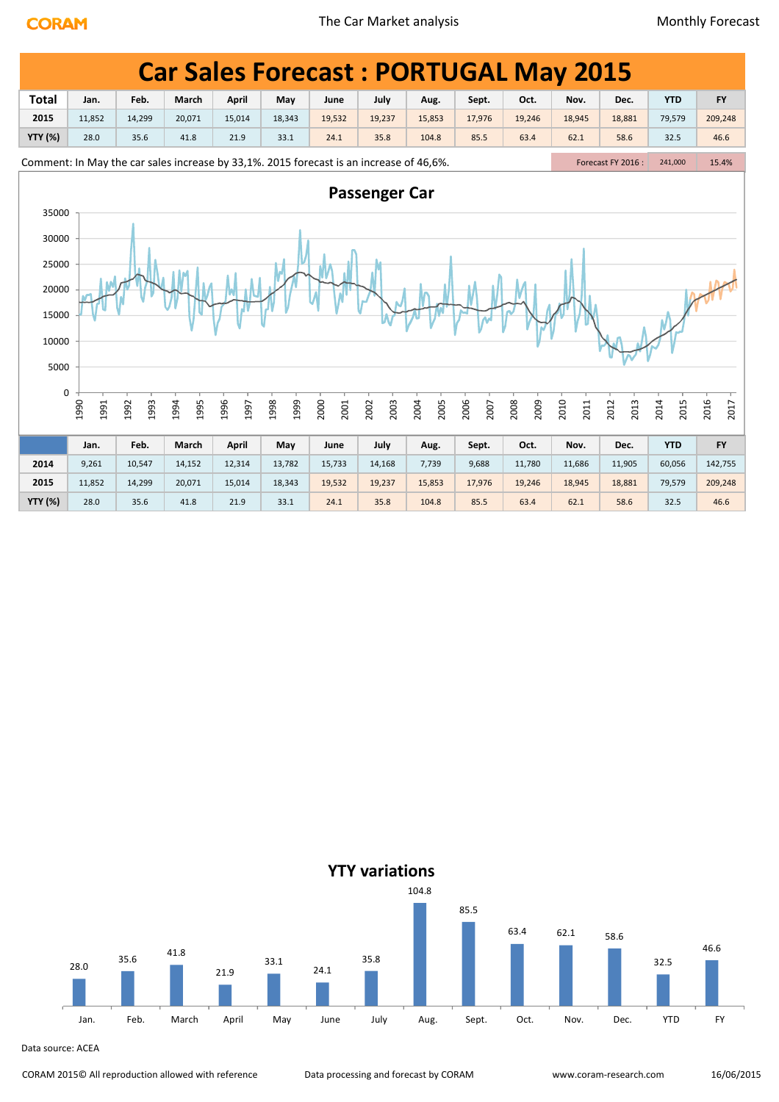|                | <b>Car Sales Forecast: PORTUGAL May 2015</b>                                                                                      |              |              |              |              |              |              |              |              |              |              |              |              |              |
|----------------|-----------------------------------------------------------------------------------------------------------------------------------|--------------|--------------|--------------|--------------|--------------|--------------|--------------|--------------|--------------|--------------|--------------|--------------|--------------|
| <b>Total</b>   | Jan.                                                                                                                              | Feb.         | March        | April        | May          | June         | July         | Aug.         | Sept.        | Oct.         | Nov.         | Dec.         | <b>YTD</b>   | <b>FY</b>    |
| 2015           | 11,852                                                                                                                            | 14,299       | 20,071       | 15,014       | 18,343       | 19,532       | 19,237       | 15,853       | 17,976       | 19,246       | 18,945       | 18,881       | 79,579       | 209,248      |
| <b>YTY (%)</b> | 28.0                                                                                                                              | 35.6         | 41.8         | 21.9         | 33.1         | 24.1         | 35.8         | 104.8        | 85.5         | 63.4         | 62.1         | 58.6         | 32.5         | 46.6         |
|                | Comment: In May the car sales increase by 33,1%. 2015 forecast is an increase of 46,6%.<br>Forecast FY 2016 :<br>241,000<br>15.4% |              |              |              |              |              |              |              |              |              |              |              |              |              |
|                | <b>Passenger Car</b><br>35000                                                                                                     |              |              |              |              |              |              |              |              |              |              |              |              |              |
|                | 30000                                                                                                                             |              |              |              |              |              |              |              |              |              |              |              |              |              |
|                | 25000                                                                                                                             |              |              |              |              |              |              |              |              |              |              |              |              |              |
|                | 20000                                                                                                                             |              |              |              |              |              |              |              |              |              |              |              |              |              |
| 15000          |                                                                                                                                   |              |              |              |              |              |              |              |              |              |              |              |              |              |
|                |                                                                                                                                   |              |              |              |              |              |              |              |              |              |              |              |              |              |
| 10000          |                                                                                                                                   |              |              |              |              |              |              |              |              |              |              |              |              |              |
| 5000           |                                                                                                                                   |              |              |              |              |              |              |              |              |              |              |              |              |              |
| 0              |                                                                                                                                   |              |              |              |              |              |              |              |              |              |              |              |              |              |
|                | 1990<br>1991                                                                                                                      | 1993<br>1992 | 1995<br>1994 | 1996<br>1997 | 1999<br>1998 | 2000<br>2001 | 2003<br>2002 | 2004<br>2005 | 2006<br>2007 | 2008<br>2009 | 2010<br>2011 | 2012<br>2013 | 2014<br>2015 | 2016<br>2017 |
|                | Jan.                                                                                                                              | Feb.         | March        | April        | May          | June         | July         |              | Sept.        | Oct.         | Nov.         | Dec.         | <b>YTD</b>   | <b>FY</b>    |
|                |                                                                                                                                   |              |              |              |              |              |              | Aug.         |              |              |              |              |              |              |
| 2014           | 9,261                                                                                                                             | 10,547       | 14,152       | 12,314       | 13,782       | 15,733       | 14,168       | 7,739        | 9,688        | 11,780       | 11,686       | 11,905       | 60,056       | 142,755      |
| 2015           | 11,852                                                                                                                            | 14,299       | 20,071       | 15,014       | 18,343       | 19,532       | 19,237       | 15,853       | 17,976       | 19,246       | 18,945       | 18,881       | 79,579       | 209,248      |
| <b>YTY (%)</b> | 28.0                                                                                                                              | 35.6         | 41.8         | 21.9         | 33.1         | 24.1         | 35.8         | 104.8        | 85.5         | 63.4         | 62.1         | 58.6         | 32.5         | 46.6         |

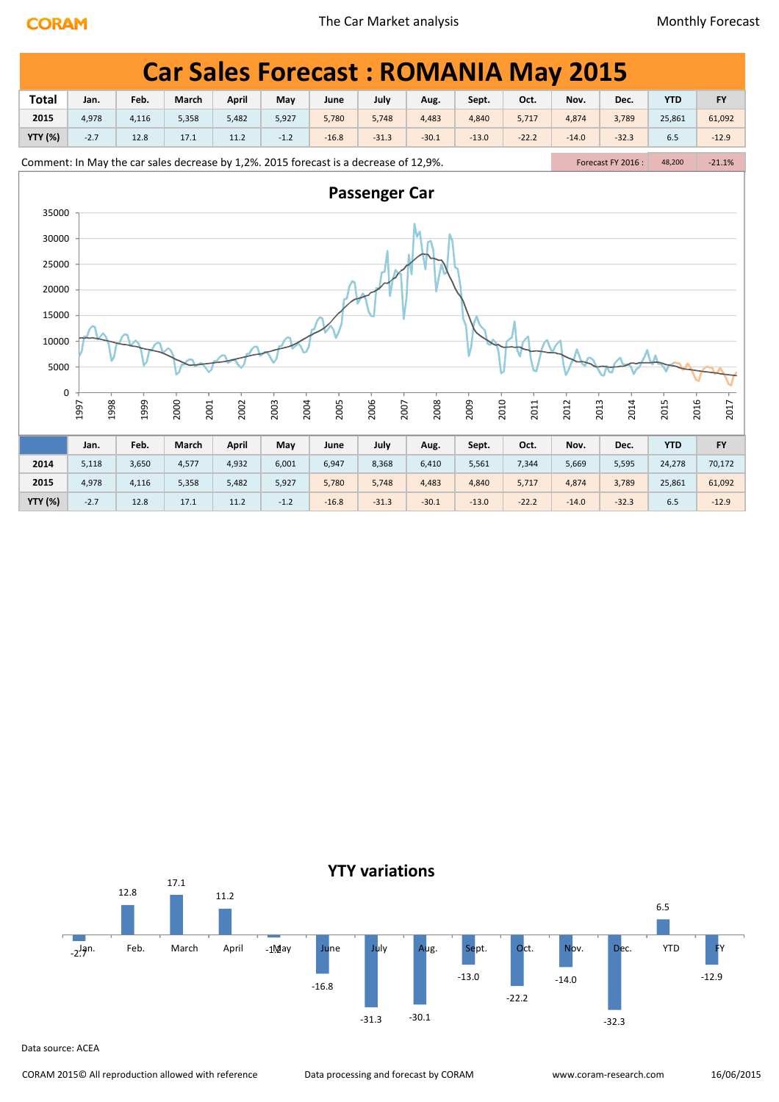|                | <b>Car Sales Forecast: ROMANIA May 2015</b>                                                                                      |       |              |       |              |         |                      |         |              |         |         |              |              |           |
|----------------|----------------------------------------------------------------------------------------------------------------------------------|-------|--------------|-------|--------------|---------|----------------------|---------|--------------|---------|---------|--------------|--------------|-----------|
| <b>Total</b>   | Jan.                                                                                                                             | Feb.  | March        | April | May          | June    | July                 | Aug.    | Sept.        | Oct.    | Nov.    | Dec.         | <b>YTD</b>   | <b>FY</b> |
| 2015           | 4,978                                                                                                                            | 4,116 | 5,358        | 5,482 | 5,927        | 5,780   | 5,748                | 4,483   | 4,840        | 5,717   | 4,874   | 3,789        | 25,861       | 61,092    |
| <b>YTY (%)</b> | $-2.7$                                                                                                                           | 12.8  | 17.1         | 11.2  | $-1.2$       | $-16.8$ | $-31.3$              | $-30.1$ | $-13.0$      | $-22.2$ | $-14.0$ | $-32.3$      | 6.5          | $-12.9$   |
|                | Comment: In May the car sales decrease by 1,2%. 2015 forecast is a decrease of 12,9%.<br>Forecast FY 2016:<br>$-21.1%$<br>48,200 |       |              |       |              |         |                      |         |              |         |         |              |              |           |
|                |                                                                                                                                  |       |              |       |              |         | <b>Passenger Car</b> |         |              |         |         |              |              |           |
|                | 35000                                                                                                                            |       |              |       |              |         |                      |         |              |         |         |              |              |           |
| 30000          |                                                                                                                                  |       |              |       |              |         |                      |         |              |         |         |              |              |           |
| 25000          |                                                                                                                                  |       |              |       |              |         |                      |         |              |         |         |              |              |           |
| 20000          |                                                                                                                                  |       |              |       |              |         |                      |         |              |         |         |              |              |           |
| 15000          |                                                                                                                                  |       |              |       |              |         |                      |         |              |         |         |              |              |           |
| 10000          |                                                                                                                                  |       |              |       |              |         |                      |         |              |         |         |              |              |           |
| 5000           |                                                                                                                                  |       |              |       |              |         |                      |         |              |         |         |              |              |           |
| 0              |                                                                                                                                  |       |              |       |              |         |                      |         |              |         |         |              |              |           |
|                | 1998<br>1997                                                                                                                     | 1999  | 2000<br>2001 | 2002  | 2004<br>2003 | 2005    | 2006<br>2007         | 2008    | 2010<br>2009 | 2011    | 2012    | 2013<br>2014 | 2016<br>2015 | 2017      |
|                | Jan.                                                                                                                             | Feb.  | March        | April | May          | June    | July                 | Aug.    | Sept.        | Oct.    | Nov.    | Dec.         | <b>YTD</b>   | <b>FY</b> |
| 2014           | 5,118                                                                                                                            | 3,650 | 4,577        | 4,932 | 6,001        | 6,947   | 8,368                | 6,410   | 5,561        | 7,344   | 5,669   | 5,595        | 24,278       | 70,172    |
| 2015           | 4,978                                                                                                                            | 4,116 | 5,358        | 5,482 | 5,927        | 5,780   | 5,748                | 4,483   | 4,840        | 5,717   | 4,874   | 3,789        | 25,861       | 61,092    |
| <b>YTY (%)</b> | $-2.7$                                                                                                                           | 12.8  | 17.1         | 11.2  | $-1.2$       | $-16.8$ | $-31.3$              | $-30.1$ | $-13.0$      | $-22.2$ | $-14.0$ | $-32.3$      | 6.5          | $-12.9$   |

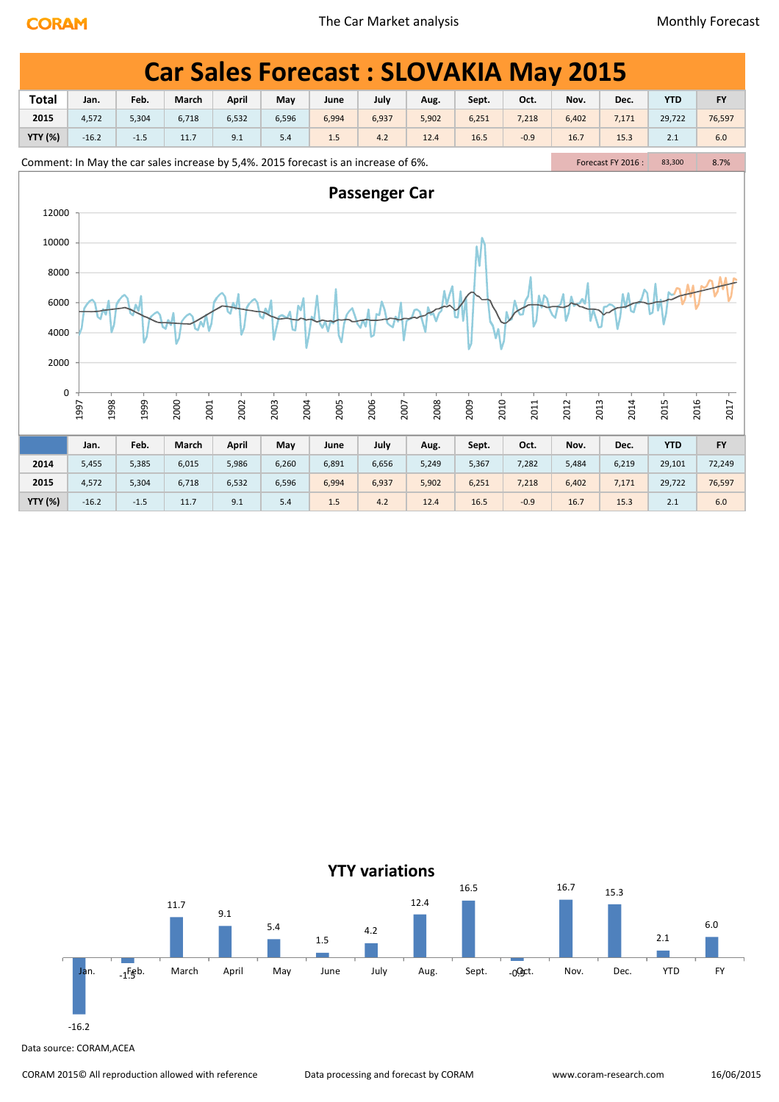|                | <b>Car Sales Forecast: SLOVAKIA May 2015</b>                                                                                                                                      |        |       |              |       |       |       |       |       |        |       |       |            |           |
|----------------|-----------------------------------------------------------------------------------------------------------------------------------------------------------------------------------|--------|-------|--------------|-------|-------|-------|-------|-------|--------|-------|-------|------------|-----------|
| <b>Total</b>   | Jan.                                                                                                                                                                              | Feb.   | March | April        | May   | June  | July  | Aug.  | Sept. | Oct.   | Nov.  | Dec.  | <b>YTD</b> | <b>FY</b> |
| 2015           | 4,572                                                                                                                                                                             | 5,304  | 6,718 | 6,532        | 6,596 | 6,994 | 6,937 | 5,902 | 6,251 | 7,218  | 6,402 | 7,171 | 29,722     | 76,597    |
| <b>YTY (%)</b> | $-16.2$                                                                                                                                                                           | $-1.5$ | 11.7  | 9.1          | 5.4   | 1.5   | 4.2   | 12.4  | 16.5  | $-0.9$ | 16.7  | 15.3  | 2.1        | 6.0       |
|                | Comment: In May the car sales increase by 5,4%. 2015 forecast is an increase of 6%.<br>Forecast FY 2016 :<br>8.7%<br>83,300                                                       |        |       |              |       |       |       |       |       |        |       |       |            |           |
|                | <b>Passenger Car</b><br>12000<br>10000                                                                                                                                            |        |       |              |       |       |       |       |       |        |       |       |            |           |
|                |                                                                                                                                                                                   |        |       |              |       |       |       |       |       |        |       |       |            |           |
| 8000           |                                                                                                                                                                                   |        |       |              |       |       |       |       |       |        |       |       |            |           |
|                | 6000<br>4000                                                                                                                                                                      |        |       |              |       |       |       |       |       |        |       |       |            |           |
| 2000           |                                                                                                                                                                                   |        |       |              |       |       |       |       |       |        |       |       |            |           |
|                | $\pmb{0}$<br>2000<br>1998<br>1999<br>2005<br>2006<br>2008<br>2009<br>2010<br>2016<br>2017<br>2002<br>2003<br>2004<br>2007<br>2012<br>2013<br>2014<br>2015<br>1997<br>2001<br>2011 |        |       |              |       |       |       |       |       |        |       |       |            |           |
|                | Jan.                                                                                                                                                                              | Feb.   | March | <b>April</b> | May   | June  | July  | Aug.  | Sept. | Oct.   | Nov.  | Dec.  | <b>YTD</b> | <b>FY</b> |
| 2014           | 5,455                                                                                                                                                                             | 5,385  | 6,015 | 5,986        | 6,260 | 6,891 | 6,656 | 5,249 | 5,367 | 7,282  | 5,484 | 6,219 | 29,101     | 72,249    |
| 2015           | 4,572                                                                                                                                                                             | 5,304  | 6,718 | 6,532        | 6,596 | 6,994 | 6,937 | 5,902 | 6,251 | 7,218  | 6,402 | 7,171 | 29,722     | 76,597    |
| <b>YTY (%)</b> | $-16.2$                                                                                                                                                                           | $-1.5$ | 11.7  | 9.1          | 5.4   | 1.5   | 4.2   | 12.4  | 16.5  | $-0.9$ | 16.7  | 15.3  | 2.1        | 6.0       |

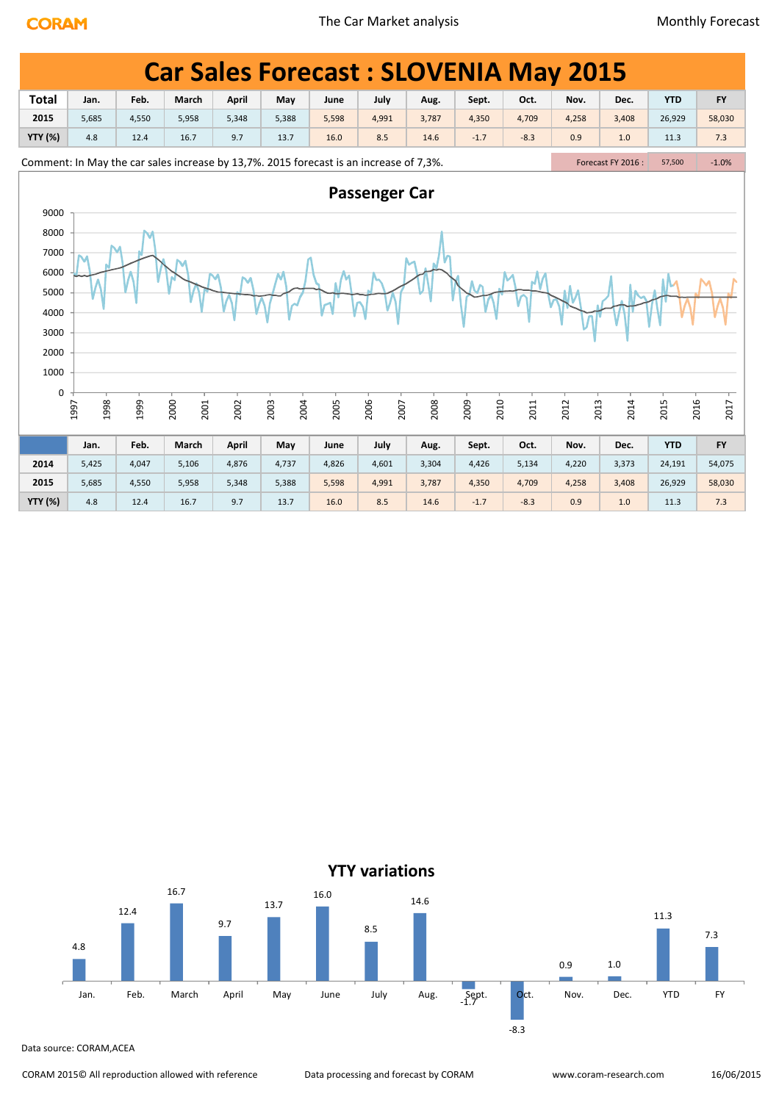|                | <b>Car Sales Forecast: SLOVENIA May 2015</b>                                           |       |              |              |              |       |              |       |              |        |              |       |                              |           |  |
|----------------|----------------------------------------------------------------------------------------|-------|--------------|--------------|--------------|-------|--------------|-------|--------------|--------|--------------|-------|------------------------------|-----------|--|
| <b>Total</b>   | Jan.                                                                                   | Feb.  | March        | <b>April</b> | May          | June  | July         | Aug.  | Sept.        | Oct.   | Nov.         | Dec.  | <b>YTD</b>                   | <b>FY</b> |  |
| 2015           | 5,685                                                                                  | 4,550 | 5,958        | 5,348        | 5,388        | 5,598 | 4,991        | 3,787 | 4,350        | 4,709  | 4,258        | 3,408 | 26,929                       | 58,030    |  |
| <b>YTY (%)</b> | 4.8                                                                                    | 12.4  | 16.7         | 9.7          | 13.7         | 16.0  | 8.5          | 14.6  | $-1.7$       | $-8.3$ | 0.9          | 1.0   | 11.3                         | 7.3       |  |
|                | Comment: In May the car sales increase by 13,7%. 2015 forecast is an increase of 7,3%. |       |              |              |              |       |              |       |              |        |              |       | Forecast FY 2016 :<br>57,500 |           |  |
| 9000           | <b>Passenger Car</b>                                                                   |       |              |              |              |       |              |       |              |        |              |       |                              |           |  |
| 8000           |                                                                                        |       |              |              |              |       |              |       |              |        |              |       |                              |           |  |
| 7000           |                                                                                        |       |              |              |              |       |              |       |              |        |              |       |                              |           |  |
| 6000           |                                                                                        |       |              |              |              |       |              |       |              |        |              |       |                              |           |  |
| 5000           |                                                                                        |       |              |              |              |       |              |       |              |        |              |       |                              |           |  |
| 4000           |                                                                                        |       |              |              |              |       |              |       |              |        |              |       |                              |           |  |
| 3000           |                                                                                        |       |              |              |              |       |              |       |              |        |              |       |                              |           |  |
| 2000           |                                                                                        |       |              |              |              |       |              |       |              |        |              |       |                              |           |  |
| 1000           |                                                                                        |       |              |              |              |       |              |       |              |        |              |       |                              |           |  |
| 0              | 1998<br>1997                                                                           | 1999  | 2000<br>2001 | 2002         | 2003<br>2004 | 2005  | 2006<br>2007 | 2008  | 2010<br>2009 | 2011   | 2012<br>2013 | 2014  | 2015<br>2016                 | 2017      |  |
|                | Jan.                                                                                   | Feb.  | March        | April        | May          | June  | July         | Aug.  | Sept.        | Oct.   | Nov.         | Dec.  | <b>YTD</b>                   | <b>FY</b> |  |
| 2014           | 5,425                                                                                  | 4,047 | 5,106        | 4,876        | 4,737        | 4,826 | 4,601        | 3,304 | 4,426        | 5,134  | 4,220        | 3,373 | 24,191                       | 54,075    |  |
| 2015           | 5,685                                                                                  | 4,550 | 5,958        | 5,348        | 5,388        | 5,598 | 4,991        | 3,787 | 4,350        | 4,709  | 4,258        | 3,408 | 26,929                       | 58,030    |  |
| <b>YTY (%)</b> | 4.8                                                                                    | 12.4  | 16.7         | 9.7          | 13.7         | 16.0  | 8.5          | 14.6  | $-1.7$       | $-8.3$ | 0.9          | 1.0   | 11.3                         | 7.3       |  |